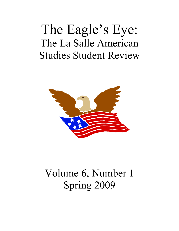# The Eagle's Eye: The La Salle American Studies Student Review



# Volume 6, Number 1 Spring 2009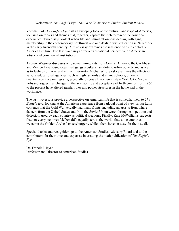## Welcome to *The Eagle's Eye: The La Salle American Studies Student Review*

Volume 6 of *The Eagle's Eye* casts a sweeping look at the cultural landscape of America, focusing on topics and themes that, together, capture the rich terrain of the American experience. Two essays look at urban life and immigration, one dealing with gang membership in the contemporary Southwest and one dealing with education in New York in the early twentieth century. A third essay examines the influence of birth control on American culture. The last two essays offer a transnational perspective on American artistic and commercial institutions.

Andrew Wagoner discusses why some immigrants from Central America, the Caribbean, and Mexico have found organized gangs a cultural antidote to urban poverty and as well as to feelings of racial and ethnic inferiority. Michal Wilczewski examines the effects of various educational agencies, such as night schools and ethnic schools, on early twentieth-century immigrants, especially on Jewish women in New York City. Nicole Polisano argues that changes in the availability and acceptance of birth control from 1960 to the present have altered gender roles and power structures in the home and in the workplace.

The last two essays provide a perspective on American life that is somewhat new to *The Eagle's Eye*: looking at the American experience from a global point of view. Erika Lunn contends that the Cold War actually had many fronts, including an artistic front where dancers from the United States and from the Soviet Union were, through competition and defection, used by each country as political weapons. Finally, Kate McWilliams suggests that not everyone loves McDonald's equally across the world, that some countries welcome the Golden Arches' cheeseburgers, while others have no taste for them at all.

Special thanks and recognition go to the American Studies Advisory Board and to the contributors for their time and expertise in creating the sixth publication of *The Eagle's Eye.*

Dr. Francis J. Ryan Professor and Director of American Studies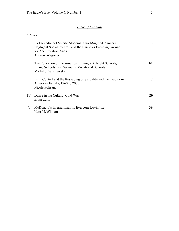*Articles*

# *Table of Contents*

| I. La Escuadra del Muerte Moderna: Short-Sighted Planners,<br>Negligent Social Control, and the Barrio as Breeding Ground<br>for Acculturation Angst<br>Andrew Wagoner | 3  |
|------------------------------------------------------------------------------------------------------------------------------------------------------------------------|----|
| II. The Education of the American Immigrant: Night Schools,<br>Ethnic Schools, and Women's Vocational Schools<br>Michal J. Wilczewski                                  | 10 |
| III. Birth Control and the Reshaping of Sexuality and the Traditional<br>American Family, 1960 to 2000<br>Nicole Polisano                                              | 17 |
| IV. Dance in the Cultural Cold War<br>Erika Lunn                                                                                                                       | 29 |
| V. McDonald's International: Is Everyone Lovin' It?<br>Kate McWilliams                                                                                                 | 39 |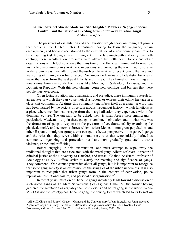## La Escuadra del Muerte Moderna: Short-Sighted Planners, Negligent Social **Control, and the Barrio as Breeding Ground for Acculturation Angst** Andrew Wagoner

The pressures of assimilation and acculturation weigh heavy on immigrant groups that arrive in the United States. Oftentimes, having to learn the language, obtain employment, and become accustomed to the cultural life of a new country can prove to be a daunting task facing a recent immigrant. In the late nineteenth and early twentieth century, these acculturation pressures were allayed by Settlement Houses and other organizations which looked to ease the transition of the European immigrant to America, instructing new immigrants in American customs and providing them with aid to survive in the urban areas they often found themselves. In relatively recent years, the face and wellspring of immigration has changed. No longer do boatloads of idealistic Europeans make their way from the east past Ellis Island. Instead, the channel of new immigrants now stems from the south from areas like Mexico, El Salvador, Honduras, and the Dominican Republic. With this new channel come new conflicts and barriers that these people must overcome.

Often facing isolation, marginalization, and prejudice, these immigrants search for an enclave in which they can voice their frustrations or express their ethnic heritage in a closeknit community. At times this community manifests itself as a gang—a word that has been vitiated by the actions of certain groups throughout history—which functions as a place where members can escape from the marginalization they experience within the dominant culture. The question to be asked, then, is what forces these immigrants particularly Mexicans—to join these gangs or condone their action and in what way was the formation of gangs a response to the pressures of acculturation? By examining the physical, social, and economic forces which isolate Mexican immigrant populations and other Hispanic immigrant groups, one can gain a better perspective on organized gangs and the roles that they serve within communities, roles that were initially defined as community organizing and protection but have now gradually gravitated towards violence, crime, and trafficking.

Before engaging in this examination, one must attempt to wipe away the traditional thoughts that are associated with the word gang. Albert DiChiara, director of criminal justice at the University of Hartford, and Russell Chabot, Assistant Professor of Sociology at SUNY Buffalo, strive to clarify the meaning and significance of gangs. They comment, "One cannot generalize about all gangs, but it is important to recognize that some gang activity is an expression of the struggles of the urban underclass. It is also important to recognize that urban gangs form in the context of deprivation, police repression, institutional failure, and personal disorganization."

In recent years, mention of Hispanic gangs inevitably leads toward a discussion of such noted gangs as La Mara Salvatrucha (MS-13) and Calle 18—the former having garnered the reputation as arguably the most vicious and brutal gang in the world. While MS-13 is not the prototypical Hispanic gang, the driving forces which led to its formation

<sup>&</sup>lt;sup>1</sup> Albert DiChiara and Russell Chabot, "Gangs and the Contemporary Urban Struggle: An Unappreciated Aspect of Gangs," in *Gangs and Society: Alternative Perspectives*, edited by Louis Kontos, David Brotherton, and Luis Barrios (New York: Columbia University Press, 2003), 79.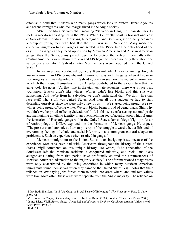establish a bond that it shares with many gangs which look to protect Hispanic youths and recent immigrants who feel marginalized in the Anglo society.

MS13, or Mara Salvatrucha—meaning "Salvadoran Gang" in Spanish—has its roots in race-torn Los Angeles in the 1980s. While it currently boasts a transnational cast of Salvadorans, Hondurans, Mexicans, Nicaraguans, and Bolivians, it originally began as a group of young men who had fled the civil war in El Salvador. Many made the collective migration to Los Angeles and settled in the Pico-Union neighborhood of the city. In Los Angeles they faced opposition by Mexican American and African American gangs, thus the Salvadorans joined together to protect themselves. Eventually other Central Americans were allowed to join and MS began to spread not only throughout the nation but also into El Salvador after MS members were deported from the United States.<sup>2</sup>

In an interview conducted by Ross Kemp—BAFTA award-winning English journalist—with an MS13 member—Duke—who was with the gang when it began in Los Angeles and was deported to El Salvador, one can see how the violent environment in which they found themselves in Los Angeles contributed to the vicious turn that the gang took. He notes, "At that time in the eighties, late seventies, there was a race war, you know. Blacks didn't like whites. Whites didn't like blacks and this shit was happening. And we're from El Salvador, we don't understand that. We don't live that race stuff. That stuff was United States. And then all of a sudden we had to start defending ourselves since we were only a few of us . . . We started being proud. We saw whites being proud of being white. We saw blacks being proud of being black. Shit, why wouldn't we be proud of being Salvadoran?"<sup>3</sup> It is this sense of asserting national pride and maintaining an ethnic identity in an overwhelming sea of acculturation which frames the formation of Hispanic gangs within the United States. James Diego Vigil, professor of Anthropology at UCLA, expounds on the formation of Mexican gangs. He argues, "The pressures and anxieties of urban poverty, of the struggle toward a better life, and of overcoming feelings of ethnic and racial inferiority made immigrant cultural adaptation problematic. Such an experience often resulted in gangs."<sup>4</sup>

Mexican immigration to the United States is an intriguing issue because of the experience Mexicans have had with Americans throughout the history of the United States. Vigil comments on this unique history. He writes, "The annexation of the Southwest left the Mexican residents a conquered minority, and racial and class antagonisms dating from that period have profoundly colored the circumstances of Mexican American adaptation to the majority society.<sup>5</sup> The aforementioned antagonisms were only exacerbated by the living conditions in which many Mexican American immigrants found themselves when they came to the United States. Vigil notes that their reliance on low-paying jobs forced them to settle into areas where land and rent values were low. Most often, these areas were separate from the Anglo majority. The reliance on

<sup>2</sup> Mary Beth Sheridan, "In N. Va. Gang, A Brutal Sense Of Belonging," *The Washington Post*, 28 June 2004, A1<br><sup>3</sup> Ross Kemp on Gangs, Documentary, directed by Ross Kemp (2008; London: 2 Entertain Video, 2008).

<sup>4</sup> James Diego Vigil, *Barrio Gangs: Street Life and Identity in Southern California* (Austin: University of Texas Press, 1988), 4.<br><sup>5</sup> Ibid., 35.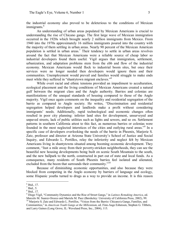the industrial economy also proved to be deleterious to the conditions of Mexican immigrants.<sup>6</sup>

An understanding of urban areas populated by Mexican Americans is crucial to understanding the rise of Chicano gangs. The first large wave of Mexican immigration occurred in the 1920s which brought nearly 2 million immigrants from Mexico. From 1940 into the 1970s approximately 16 million immigrants poured into the country with the majority of them settling in urban areas. Nearly 90 percent of the Mexican American population is settled in urban areas.<sup>7</sup> Their tendency to settle in urban areas revolves around the fact that Mexican Americans were a reliable source of cheap labor so industrial developers found them useful. Vigil argues that immigration, settlement, urbanization, and adaptation problems stem from the ebb and flow of the industrial economy. Mexican Americans would flock to industrial boom sites, but once their services were no longer needed then developers would ignore them and their communities. Unemployment would prevail and families would struggle to make ends meet while they suffered in "shantytown migrant enclaves."

While overt racial and ethnic tensions provided an impediment to acculturation, ecological placement and the living conditions of Mexican Americans created a natural gulf between the migrant class and the Anglo authority. Barrios and colonias are manifestations of the unequal standards of housing compared to those of the Anglo majority. Vigil once again comments on the inequality and residential segregation of the barrio as compared to Anglo society. He writes, "Discrimination and residential segregation helped developers and landlords make a profit without considering immigrants' needs. Additionally, rapid technological and economic changes often resulted in poor city planning: inferior land sites for development, unsurveyed and unpaved streets, lack of public utilities such as lights and sewers, and so on. Settlement patterns in southern California attest to this fact, as numerous barrios or colonias were founded in the most neglected interstices of the cities and outlying rural areas."<sup>9</sup> In a specific case of developers overlooking the needs of the barrio in Phoenix, Marjorie S. Zatz, professor and director at Arizona State University's School of Justice and Social Inquiry, and Edwardo L. Portillos, relay the inferiority and neglect felt by Mexican Americans living in shantytowns situated among booming economic development. They comment, "Just a mile away from their poverty-stricken neighborhoods, they can see the beautiful new housing developments being built on scenic South Mountain to the south, and the new ballpark to the north, constructed in part out of state and local funds. As a consequence, many residents of South Phoenix barrios feel isolated and alienated, excluded from the boom that surrounds their community."<sup>10</sup>

Because of diminishing economic opportunities, and also because they were blocked from competing in the Anglo economy by barriers of language and ecology, some Hispanic youths turned to drugs as a way to provide an income. It is this reason

 $\frac{6}{7}$  Ibid., 17.<br> $\frac{8}{8}$  Ibid., 17.

<sup>9</sup> Diego Vigil, "Community Dynamics and the Rise of Street Gangs," in *Latinos Remaking America*, ed.

<sup>&</sup>lt;sup>10</sup> Marjorie S. Zatz and Edwardo L. Portillos, "Voices from the Barrio: Chicano/a Gangs, Families, and Communities," in *American Youth Gangs at the Millennium*, ed. Finn-Aage Esbensen, Stephen G. Tibbets, and Larry Gaines (Long Grove, IL: Waveland Press, Inc., 2004), 115.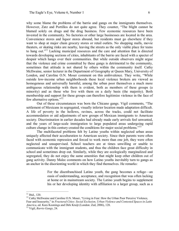why some blame the problems of the barrio and gangs on the immigrants themselves. However, Zatz and Portillos do not quite agree. They counter, "The blight cannot be blamed solely on drugs and the drug business. Few economic resources have been invested in the community. No factories or other large businesses are located in the area. Convenience stores and liquor stores abound, but residents must go elsewhere if they want to shop at major chain grocery stores or retail outlets. No shopping malls, movie theaters, or skating rinks are nearby, leaving the streets as the only viable place for teens to hang out."<sup>11</sup> Lacking municipal resources and the care and attention that is directed towards developing sections of cities, inhabitants of the barrio are faced with a specter of despair which hangs over their communities. But while outside observers might argue that the violence and crime committed by these gangs is detrimental to the community, sometimes that attitude is not shared by others within the community itself. Cathy McIlwaine, senior lecturer in the Department of Geography at Queen Mary, University of London, and Caroline O.N. Moser comment on this ambivalence. They write, "While outside lowincome urban neighborhoods these local violence brokers are viewed as homogenous and universally harmful, among the urban poor themselves a much more ambiguous relationship with them is evident, both as members of these groups (a minority) and as those who live with them on a daily basis (the majority). Both membership and support for these groups can therefore legitimize violence in the face of few alternative options."<sup>12</sup>

Out of these circumstances was born the Chicano gangs. Vigil comments, "The settlement of Mexicans in segregated, visually inferior location made adaptation difficult. A life of poverty in the hollows, ravines, across the tracks, could not facilitate accommodation or aid adjustments of new groups of Mexican immigrants to American society. Discrimination in earlier decades had already made early arrivals feel unwanted, and the years of large-scale immigration to large populated areas undergoing rapid culture change in this century created the conditions for major social problems.<sup>"13</sup>

The multifaceted problems felt by Latino youths within neglected urban areas uniquely affected their acculturation to American society. Since their parents were often faced with economic repression and forced to work more than one job, they were often neglected and unsupervised. School teachers are at times unwilling or unable to communicate with the immigrant students, and thus the children face great difficulty in school and sometimes drop out. Similarly, while they are ecologically marginalized and segregated, they do not enjoy the same amenities that might keep other children out of gang activity. Danny Malec comments on how Latino youths inevitably turn to gangs as an anchor in the disorienting world in which they find themselves. He remarks:

> For the disenfranchised Latino youth, the gang becomes a refuge—an oasis of understanding, acceptance, and recognition that was often lacking at home or in mainstream society. The Latino youth begins to supplement his or her developing identity with affiliation to a larger group, such as a

<sup>&</sup>lt;sup>11</sup> Ibid., 120.<br><sup>12</sup> Cathy McIlwaine and Caroline O.N. Moser, "Living in Fear: How the Urban Poor Perceive Violence, Fear and Insecurity," in *Fractured Cities: Social Exclusion, Urban Violence and Contested Spaces in Latin America*, ed. Kees Koonings and Dirk Kruijt (London: Zed, 2006), 128. <sup>13</sup> Vigil, *Barrio Gangs*, 24.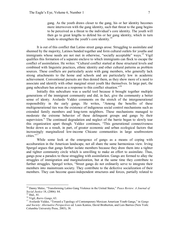gang. As the youth draws closer to the gang, his or her identity becomes more interwoven with the gang identity, such that threat to the gang begins to be perceived as a threat to the individual's core identity. The youth will then go to great lengths to defend his or her gang identity, which in turn tends to strengthen the youth's core identity.<sup>14</sup>

It is out of this conflict that Latino street gangs arose. Struggling to assimilate and shunned by the majority, Latinos banded together and form cultural outlets for youths and immigrants whose needs are not met in otherwise, "socially acceptable" ways.<sup>15</sup> Vigil qualifies this formation of a separate enclave to which immigrants can flock to escape the conflict of assimilation. He writes: "Cultural conflict started at these structural levels and combined with linguistic practices, ethnic identity and other cultural patterns as problem sources. These conflicts are particularly acute with gang members, who generally lack strong attachments to the home and schools and are particularly low in academic achievement. Conventional pursuits are thus denied them, as they show more of a need to associate and identify with other marginal street youth like themselves. In large part, the gang subculture has arisen as a response to this conflict situation."<sup>16</sup>

Initially this subculture was a useful tool because it brought together multiple generations of the immigrant community and did, in fact, give the community a better sense of identy. Avelardo Valdez comments on the stretch of the intergenerational responsibility in the early gangs. He writes, "Among the benefits of these multigenerational ties was the existence of indigenous social control mechanisms such as extended family members and long-term neighbors. These mechanisms managed to moderate the extreme behavior of these delinquent groups and gangs by their supervision." The continued degradation and neglect of the barrio began to slowly tear this organization apart though. Valdez continues, "This generational connectiveness broke down as a result, in part, of greater economic and urban ecological factors that increasingly marginalized low-income Chicano communities in large southwestern  $cities$ <sup>"17</sup>

While some look at the emergence of gangs as a means of coping with acculturation in the American landscape, not all share the same harmonious view. Irving Spergel argues that gangs further isolate members because they draw them into a tighter and tighter community circle which is unwilling to make an effort to assimilate. Thus, gangs pose a paradox to those struggling with assimilation. Gangs are formed to allay the struggles of immigration and marginalization, but at the same time they contribute to further struggles. Spergel writes, "Street gangs do not ordinarily serve to integrate their members into mainstream society. They contribute to the defective socialization of their members. They can become quasi-independent structures and forces, partially related to

<sup>14</sup> Danny Malec, "Transforming Latino Gang Violence in the United States," *Peace Review: A Journal of*

<sup>&</sup>lt;sup>15</sup> Ibid., 81.<br><sup>16</sup> Vigil, *Barro Gangs*, 63.<br><sup>17</sup> Avelardo Valdez, "Toward a Typology of Contemporary Mexican American Youth Gangs," in *Gangs and Society: Alternative Perspectives* ed. Louis Kontos, David Brotherton, and Luis Barrios (New York: Columbia University Press, 2003), 38.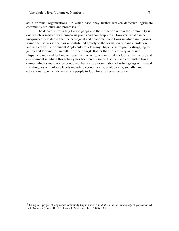adult criminal organizations—in which case, they further weaken defective legitimate community structure and processes."<sup>18</sup>

The debate surrounding Latino gangs and their function within the community is one which is marked with numerous points and counterpoints. However, what can be unequivocally stated is that the ecological and economic conditions in which immigrants found themselves in the barrio contributed greatly to the formation of gangs. Isolation and neglect by the dominant Anglo culture left many Hispanic immigrants struggling to get by and looking for an outlet for their angst. Rather than collectively assessing Hispanic gangs and looking to cease their activity, one must take a look at the history and environment in which this activity has been bred. Granted, some have committed brutal crimes which should not be condoned, but a close examination of urban gangs will reveal the struggles on multiple levels including economically, ecologically, socially, and educationally, which drive certain people to look for an alternative outlet.

<sup>18</sup> Irving A. Spergel, "Gangs and Community Organization," in *Reflections on Community Organization* ed. Jack Rothman (Itasca, IL: F.E. Peacock Publishers, Inc., 1999), 125.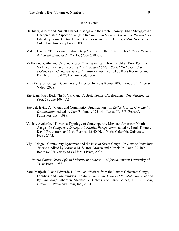## Works Cited

- DiChiara, Albert and Russell Chabot. "Gangs and the Contemporary Urban Struggle: An Unappreciated Aspect of Gangs." In *Gangs and Society: Alternative Perspectives*, Edited by Louis Kontos, David Brotherton, and Luis Barrios, 7794. New York: Columbia University Press, 2005.
- Malec, Danny. "Tranforming Latino Gang Violence in the United States." *Peace Review: A Journal of Social Justice* 18, (2006): 81-89.
- McIlwaine, Cathy and Caroline Moser. "Living in Fear: How the Urban Poor Perceive Violence, Fear and Insecurity." In *Fractured Cities: Social Exclusion, Urban Violence and Contested Spaces in Latin America*, edited by Kees Koonings and Dirk Kruijt, 117-137. London: Zed, 2006.
- *Ross Kemp on Gangs*. Documentary. Directed by Ross Kemp. 2008. London: 2 Entertain Video, 2008.
- Sheridan, Mary Beth. "In N. Va. Gang, A Brutal Sense of Belonging." *The Washington Post*, 28 June 2004, A1.
- Spergel, Irving A. "Gangs and Community Organization." In *Reflections on Community Organization*, edited by Jack Rothman, 123-144. Itasca, IL: F.E. Peacock Publishers, Inc., 1999.
- Valdez, Avelardo. "Toward a Typology of Contemporary Mexican American Youth Gangs." In *Gangs and Society: Alternative Perspectives*, edited by Louis Kontos, David Brotherton, and Luis Barrios, 12-40. New York: Columbia University Press, 2005.
- Vigil, Diego. "Community Dynamics and the Rise of Street Gangs." In *Latinos Remaking America*, edited by Marcelo M. Suarez-Orozco and Mariela M. Paez, 97-109. Berkeley: University of California Press, 2002.
- . *Barrio Gangs: Street Life and Identity in Southern California*. Austin: University of Texas Press, 1988.
- Zatz, Marjorie S. and Edwardo L. Portillos. "Voices from the Barrio: Chicano/a Gangs, Families, and Communities." In *American Youth Gangs at the Millennium*, edited By Finn-Aage Esbensen, Stephen G. Tibbets, and Larry Gaines, 113-141. Long Grove, IL: Waveland Press, Inc., 2004.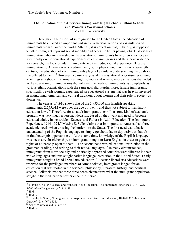#### **The Education of the American Immigrant: Night Schools, Ethnic Schools, and Women's Vocational Schools** Michal J. Wilczewski

Throughout the history of immigration to the United States, the education of immigrants has played an important part in the Americanization and assimilation of immigrants from all over the world. After all, it is education that, in theory, is supposed to offer immigrants upward social mobility and access to better paying jobs. Historians of immigration who are interested in the education of immigrants have oftentimes focused specifically on the educational experiences of child immigrants and thus leave wide open for research, the topic of adult immigrants and their educational experience. Because immigration to America was a predominantly adult phenomenon in the early twentieth century, the education of such immigrants plays a key role in understanding the quality of life offered to them.<sup>19</sup> However, a close analysis of the educational opportunities offered to immigrants shows that American night schools and American organizations that aided in the education of immigrations did not meet the needs of immigrants as completely as various ethnic organizations with the same goal did. Furthermore, female immigrants, specifically Jewish women, experienced an educational system that was heavily invested in maintaining American and cultural traditions about women and their role in society as domestics.

The census of 1910 shows that of the  $2,953,000$  non-English speaking immigrants, 2,545,612 were over the age of twenty and thus not subject to mandatory education laws.<sup>20</sup> Therefore, for an adult immigrant to enroll in some kind of academic program was very much a personal decision, based on their want and need to become educated adults. In her article, "Success and Failure in Adult Education: The Immigrant Experience, 1914-1924," Maxine S. Seller claims that immigrants to America had three academic needs when crossing the border into the States. The first need was a basic understanding of the English language to simply go about day to day activities, but also to find better job opportunities.<sup>21</sup> At the same time, knowledge of the English language was necessary for citizenship, so immigrants sought to learn English in order to gain the rights of citizenship open to them.<sup>22</sup> The second need was educational instruction in the grammar, reading, and writing of their native languages.<sup>23</sup> In many circumstances, immigrants from more socially and politically oppressed countries were illiterate in their native languages and thus sought native language instruction in the United States. Lastly, immigrants sought a broad liberal arts education.<sup>24</sup> Because liberal arts educations were reserved for the privileged members of some societies, immigrants longed for an education that was rooted in the sciences, philosophy, literature, history, and political science. Seller claims that these three needs characterize what the immigrant population sought in their educational experience in America.

<sup>&</sup>lt;sup>19</sup> Maxine S. Seller, "Success and Failure in Adult Education: The Immigrant Experience 1914-1924,"<br>*Adult Education Quarterly* 28 (1978): 1.<br><sup>20</sup> Ibid, 1.

*Adult Education Quarterly* <sup>28</sup> (1978): 1. <sup>20</sup> Ibid, 1. <sup>21</sup> Ibid., 2. <sup>22</sup> Timothy L. Smith, "Immigrant Social Aspirations and American Education, 18801930." *American Quarterly* 21 (1969): 526.<br><sup>23</sup> Seller, "Success and Failure," 3.<br><sup>24</sup> Ibid., 4.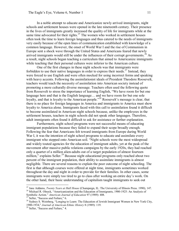In a noble attempt to educate and Americanize newly arrived immigrants, night schools and settlement houses were opened in the late nineteenth century. Their presence in the lives of immigrants greatly increased the quality of life for immigrants while at the same time advocated for their rights.<sup>25</sup> The women who worked in settlement houses often took the time to learn foreign languages and thus catered to the needs of immigrants very easily because of the open lines of communication established with knowledge of a common language. However, the onset of World War I and the rise of Communism in Europe sent a shock wave through the United States and Americans feared that newly arrived immigrants would still be under the influences of their corrupt governments.<sup>26</sup> As a result, night schools began teaching a curriculum that aimed to Americanize immigrants while teaching that their personal cultures were inferior to the American culture.

One of the first changes in these night schools was that immigrants were forbidden to use their native languages in order to express their needs.<sup>27</sup> Instead, they were forced to use English and were often mocked for using incorrect forms and speaking with heavy accents. Following the assimilationist ideals of President Theodore Roosevelt, teachers would teach the necessity of assimilation into American society instead of promoting a more culturally diverse message. Teachers often used the following quote from Roosevelt to stress the importance of learning English, "We have room forbut one language here and that is the English language... and we have room for but one sole loyalty, and that is loyalty to the American people."<sup>28</sup> Roosevelt's message is clear, that there is no place for foreign languages in America and immigrants to America must show loyalty to America alone. Immigrants faced with this call to assimilation found it difficult to become assimilated in American night schools because, unlike the employees in the settlement houses, teachers in night schools did not speak other languages. Therefore, adult immigrants often found it difficult to ask for assistance or further explanation.

Furthermore, night school programs were not successful means of educating immigrant populations because they failed to expand their scope broadly enough. Following the fear that Americans felt toward immigrants from Europe during World War I, it was the intention of night school programs to educate and assimilate every immigrant who stepped onto American soil. "Night schools were the most widespread and widely touted agencies for the education of immigrant adults, yet at the peak of the movement after massive public relations campaigns by the early 1920s, they had reached only a quarter of a million alien-adults out of a target population of almost fourteen million," explains Seller.<sup>29</sup> Because night educational programs only reached about two percent of the immigrant population, their ability to assimilate immigrants is almost negligible. There are several reasons to explain the poor outcome of night schooling. The first is that although courses were offered at night time, immigrants sometimes worked throughout the day and night in order to provide for their families. In other cases, some immigrants were simply too tired to go to class after working an entire day's work. On the other hand, their basic understanding of capitalism taught immigrants to seek out

<sup>&</sup>lt;sup>25</sup> Jane Addams, *Twenty Years at Hull House* (Champaign, IL: The University of Illinois Press. 1990), 147.<br><sup>26</sup> Michael R. Olneck, "Americanization and the Education of Immigrants, 1900-1925: An Analysis of Symbolic Act

Symbolic Action." *American Journal of Education* 97 (1989): 408.<br><sup>27</sup> Seller, "Success and Failure," 6.<br><sup>28</sup> Sydney S. Weinberg, "Longing to Learn: The Education of Jewish Immigrant Women in New York City, 19001934," *Journal of American Ethnic History* 8 (1989): 119. <sup>29</sup> Seller, "Success and Failure," 4.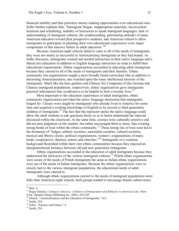financial stability and thus prioritize money-making opportunities over educational ones. Seller further explains that, "Immigrant fatigue, inappropriate materials, inconvenient locations and scheduling, inability of instructors to speak immigrant languages, lack of understanding of immigrant cultures, the condescending, patronizing attitudes of many American educators toward their prospective students, and American refusal to allow immigrants to participate in planning their own educational experiences were major components of this massive failure in adult education. $^{330}$ 

Because American night schools failed to cater to all of the needs of immigrants, they were not nearly as successful in Americanizing immigrants as they had hoped. As Seller discusses, immigrants wanted and needed instruction in their native language and a liberal arts education in addition to English language instruction in order to fulfill their educational requirements. Ethnic organizations succeeded in educating adult immigrants because they catered to all of the needs of immigrants and their families. Ethnic community run organizations taught a more broadly based curriculum that in addition to discussing Americanization, also touched upon the many intellectual interests of the immigrants. Much like the beer gardens and Chinese Six Companies of the German and Chinese immigrant populations, respectively, ethnic organizations gave immigrants practical information that would prove to be helpful in their everyday lives.<sup>31</sup>

Most important to the education experiences of adult immigrants, ethnic community organizations provided the native language instruction that immigrants longed for. Classes were taught by immigrants who already lived in America for some time and acquired a working knowledge of English or by second or third generation children of immigrants.<sup>32</sup> The fact that the instructor spoke the native language could allow the adult students to ask questions freely so as to better understand the material discussed within the classroom. At the same time, courses were culturally sensitive and did not pass judgment on the student, but rather encouraged them to learn, thus creating strong bonds of trust within the ethnic community.<sup>33</sup> These strong ties of trust soon led to the formation of "lodges, athletic societies, nationalist societies, cultural societies, musical and library circles, political organizations, women's organizations of many kinds, cooperatives, theatres, unions and churches.<sup>34</sup> Immigrants of a common background flourished within their own ethnic communities because they enjoyed an intergenerational intimacy between old and new generation immigrants.

Ethnic organizations succeeded in the education of adult immigrants because they understood the intricacies of the various immigrant cultures.<sup>35</sup> Polish ethnic organizations were aware of the needs of Polish immigrants the same as Italian ethnic organizations were are of the needs of Italian immigrants. Because the ethnic organizations were so closely tied to the various immigrant populations, the educational needs of adult immigrants were catered to.

Although ethnic organizations catered to the needs of immigrant populations more fully than American night schools, both groups tended to encourage female subservience

<sup>30</sup> Ibid., 6. <sup>31</sup> Roger Daniels, *Coming to America: <sup>A</sup> History of Immigration and Ethnicity in American Life*. (New York: HarperCollings Publishing Inc. 2002), 244-245.

<sup>&</sup>lt;sup>32</sup> Olneck, "Americanization and the Education of Immigrants," 413.

<sup>33</sup> Smith, 524.

 $34 \text{ Seller},$  "Success and Failure," 9.<br> $35 \text{ Smith}, 524.$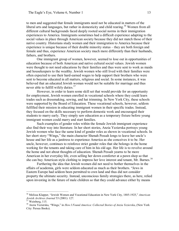to men and suggested that female immigrants need not be educated in matters of the liberal arts and languages, but rather in domesticity and child rearing.<sup>36</sup> Women from all different cultural backgrounds faced deeply rooted social norms in their immigration experiences to America. Immigrants sometimes had a difficult experience adapting to the social values in place through American society because they did not match those of their native country. Historians study women and their immigration to America because their experience is unique because of their double minority status – they are both foreign and female and thus, experience American society much more differently than their husbands, fathers, and brothers.

One immigrant group of women, however, seemed to lose out in opportunities of education because of both American and native cultural social values. Jewish women were thought to not need educations by their families and thus were sent to work as maids and housekeepers to the wealthy. Jewish women who still lived with their families were often expected to use their hard-earned wages to help support their brothers who were sent to become educated in all matters, religious and social. In some instances, it was believed that an educated Jewish woman would not be suitable for marriage and thus never able to fulfill wifely duties.<sup>37</sup>

However, in order to learn some skill set that would provide for an opportunity for employment, Jewish women enrolled in vocational schools where they could learn trades such as dressmaking, sewing, and hat trimming. In New York City, these schools were supported by the Board of Education. These vocational schools, however, seldom fulfilled their mission in educating immigrant women in their specific trades. Instead, they focused on the skills necessary to perform domestic work and encouraged their students to marry early. They simply saw education as a temporary fixture before young immigrant women could marry and start families.

Such examples of gender roles within the female Jewish immigrant experience also find their way into literature. In her short stories, Anzia Yezierska portrays young Jewish women who face the same kind of gender roles as shown in vocational schools. In her short story "Wings," the main character Shenah Pessah longs to leave her uncle's house and her life as a janitress to experience America as she conceives it to be. Her uncle, however, continues to reinforce strict gender roles that she belongs in the home working for the tenants and taking care of him in his old age. Her life is to revolve around the home and not about thoughts of education. Shenah Pessah yearns to be more American in her everyday life, even selling her down comforter at a pawn shop so that she can buy American style clothing to impress her love interest and tenant, Mr. Barnes.<sup>38</sup>

Furthering the idea that Jewish women did not need to bother themselves in the affairs of academia, girls were seldom educated as much as their brothers. "Jews in Eastern Europe had seldom been permitted to own land and thus did not consider property the ultimate security. Instead, unconscious family strategies there, as here, relied upon investing in the future of male children so that they could advance either by means

<sup>&</sup>lt;sup>36</sup> Melissa Klapper, "Jewish Women and Vocational Education in New York City, 1885-1925," *American Jewish Archives Journal* 53 (2001): 127.<br><sup>37</sup> Weinberg, 115.

*Jewish Archives Journal* <sup>53</sup> (2001): 127. <sup>37</sup> Weinberg, 115. <sup>38</sup> Anzia Yezierska, "Wings," in *How I Found America: Collected Stories of Anzia Yezierska*, (New York City: Persea Books).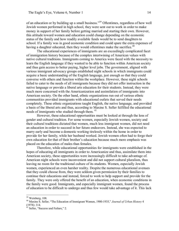of an education or by building up a small business." <sup>39</sup> Oftentimes, regardless of how well Jewish women performed in high school, they were sent out to work in order to make money in support of her family before getting married and starting their own. However, this attitude toward women and education could change depending on the economic status of the family and how readily available funds would be to send daughters to school. If a family was in good economic condition and could spare the extra expenses of having a daughter educated, then they would oftentimes make the sacrifice.<sup>40</sup>

The educational experiences of immigrants are an exceedingly complicated facet of immigration history because of the complex intertwining of American values with native cultural traditions. Immigrants coming to America were faced with the necessity to learn the English language if they wanted to be able to function within American society and thus gain access to better paying, higher level jobs. The government, aligned with various immigrant advocacy groups established night schools in which immigrants could acquire a basic understanding of the English language, just enough so that they could converse with others and function within the workplace. However, these night schools failed to cater to the needs of all immigrants because they did not offer instruction in the native language or provide a liberal arts education for their students. Instead, they were much more concerned with the Americanization and assimilation of immigrants into American society. On the other hand, ethnic organizations run out of various ethnic communities provided immigrants with educational outlets that served their needs completely. These ethnic organizations taught English, the native language, and provided a basis of the liberal arts and thus, according to Maxine S. Seller fulfilled the educational needs of immigrants who studied through them.<sup>41</sup>

However, these educational opportunities must be looked at through the lens of gender and cultural tradition. For some women, especially Jewish women, society and their cultural traditions dictated that women, much less immigrant women, did not need an education in order to succeed in her future endeavors. Instead, she was expected to marry early and become a domestic working tirelessly within the home in order to provide for her family, while her husband worked. Jewish women often had to forgo their own education for that of their brother's education because much more emphasis was placed on the education of males than females.

Therefore, while educational opportunities for immigrants were established in the hopes of educating all immigrants in order to Americanize and thus, assimilate them into American society, these opportunities were increasingly difficult to take advantage of. American night schools were inconvenient and did not support cultural pluralism, thus leaving no room for the traditional culture of its students. Women, especially Jewish women, experienced an even harsher reality. Despite the numerous educational avenues that they could choose from, they were seldom given permission by their families to continue their educations and instead, forced to work to help support and provide for the family. They were only offered the benefit of an education, when economic conditions in the family were good. Immigrants, and especially immigrant women, found the process of education to be difficult to undergo and thus few would take advantage of it. This lack

<sup>&</sup>lt;sup>39</sup> Weinberg, 108.<br><sup>40</sup> Maxine S. Seller, "The Education of Immigrant Women, 1900-1935," *Journal of Urban History* 4 (1978): 314.

 $41$  Seller, "Success and Failure," 2.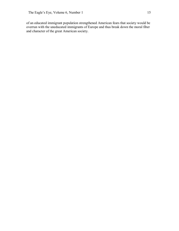of an educated immigrant population strengthened American fears that society would be overrun with the uneducated immigrants of Europe and thus break down the moral fiber and character of the great American society.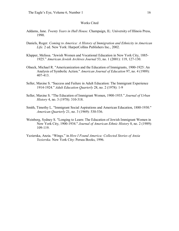### Works Cited

- Addams, Jane. *Twenty Years in Hull House*. Champaign, IL: University of Illinois Press, 1990.
- Daniels, Roger. *Coming to America: A History of Immigration and Ethnicity in American Life.* 2 ed. New York: HarperCollins Publishers Inc., 2002.
- Klapper, Melissa. "Jewish Women and Vocational Education in New York City, 1885 1925." *American Jewish Archives Journal* 53, no. 1 (2001): 119, 127130.
- Olneck, Michael R. "Americanization and the Education of Immigrants, 1900-1925: An Analysis of Symbolic Action." *American Journal of Education* 97, no. 4 (1989): 407413.
- Seller, Maxine S. "Success and Failure in Adult Education: The Immigrant Experience 19141924." *Adult Education Quarterly* 28, no. 2 (1978): 19
- Seller, Maxine S. "The Education of Immigrant Women, 1900-1935." *Journal of Urban History* 4, no. 3 (1978): 310-318.
- Smith, Timothy L. "Immigrant Social Aspirations and American Education, 1880-1930." *American Quarterly* 21, no. 3 (1969): 530-536.
- Weinberg, Sydney S. "Longing to Learn: The Education of Jewish Immigrant Women in New York City, 1900-1934." *Journal of American Ethnic History* 8, no. 2 (1989): 109119.
- Yezierska, Anzia. "Wings." in *How I Found America: Collected Stories of Anzia Yezierska.* New York City: Persea Books, 1996.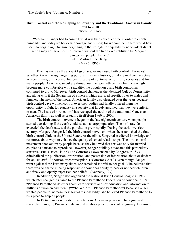#### **Birth Control and the Reshaping of Sexuality and the Traditional American Family, 1960 to 2000** Nicole Polisano

"Margaret Sanger had to commit what was then called a crime in order to enrich humanity, and today we honor her courage and vision; for without them there would have been no beginning. Our sure beginning in the struggle for equality by non-violent direct action may not have been so resolute without the tradition established by Margaret Sanger and people like her."

–Dr. Martin Luther King (May 5, 1966)

From as early as the ancient Egyptians, women used birth control. (Knowles) Whether it was through ingesting poisons in ancient history, or taking oral contraceptive in recent times, birth control has been a cause of controversy for many societies and for many people. As American culture throughout the twentieth century has increasingly become more comfortable with sexuality, the population using birth control has continued to grow. Moreover, birth control challenges the idealized Cult of Domesticity, and along with it the Separation of Spheres, which ascribed specific roles to males and females. The myth of the model American family also changed over the years because birth control gave women control over their bodies and finally offered them the opportunity to fight for equality in a society that largely assumed that they were inferior to men. The issue of birth control has reshaped the notion of the traditional Caucasian American family as well as sexuality itself from 1960 to 2000.

The birth control movement began in the late eighteenth century when people started questioning if the earth could sustain a large population. The birth rate far exceeded the death rate, and the population grew rapidly. During the early twentieth century, Margaret Sanger led the birth control movement when she established the first birth control clinic in the United States. At the clinic, Sanger also offered knowledge and resources about ways to enhance the quality of sexual relationships. The birth control movement shocked many people because they believed that sex was only for married couples as a means to reproduce. However, Sanger publicly advocated this particularly sensitive issue. (Davis, 44-45) The Comstock Laws enacted by Congress in 1873 criminalized the publication, distribution, and possession of information about or devices for an "unlawful" abortion or contraception. ("Comstock Act.") Even though Sanger went against these laws many times, she remained faithful to her goal. "She believed that there was no shame in being responsible about ones ability to bear or not bear children, and freely and openly expressed her beliefs." (Kennedy, 127)

In addition, Sanger also organized the National Birth Control League in 1917, which later changed its name to the Planned Parenthood Federation of America in 1942. "Planned Parenthood delivers health care services and sex education and information to millions of women and men." ("Who We Are – Planned Parenthood") Because Sanger wanted people to increase their sexual responsibility, she believed Planned Parenthood to be a place to help all people.

In 1934, Sanger requested that a famous American physician, biologist, and researcher, Gregory Pincus, create an oral contraceptive to prevent pregnancy. Because of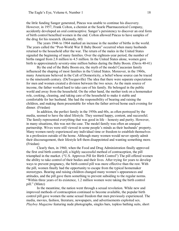the little funding Sanger generated, Pincus was unable to continue his discovery. However, in 1957, Frank Colton, a chemist at the Searle Pharmaceutical Company, accidently developed an oral contraceptive. Sanger's persistency to discover an oral form of birth control benefited women in the end. Colton allowed Pincus to have samples of the drug for his research. (Kennedy, 60)

The years 1946 to 1964 marked an increase in the number of births in the world. The years called the "Post-World War II Baby Boom" occurred when many husbands returned to the household after the war. The return of the males in the United States signaled the beginning of many families. Over the eighteen-year period, the number of births ranged from 2.8 million to 4.5 million. In the United States alone, women gave birth to approximately seventy-nine million babies during the Baby Boom. (Davis 40-41)

By the end of the Baby Boom era, the myth of the model Caucasian family influenced the shaping of most families in the United States. Moreover, in the 1960s, many Americans believed in the Cult of Domesticity, a belief whose source can be traced to the nineteenth century. (DeTocqueville) The idea that there were separate expectations for men and women created a division between the two sexes. As the main source of income, the father worked hard to take care of his family. He belonged in the public world and away from the household. On the other hand, the mother took on a homemaker role, cooking, cleaning, and taking care of the household to make it stable and comfortable for her husband. She had the responsibility of bearing and raising the children, and making them presentable for when the father arrived home each evening for dinner. (Friedan)

In addition, the perfect family in the 1950s and 60s, as often portrayed by the media, seemed to have the ideal lifestyle. They seemed happy, content, and successful. The family represented everything that was good in life – honesty and purity. However, in many situations, this was not the case. The model family was often an unequal partnership. Wives were still viewed in some people's minds as their husbands' property. Many women rarely experienced any individual time or freedom to establish themselves in a profession outside of the home. Although many women would never openly admit their discouragement, their lifestyle left them disappointed and wanting something more. (Friedan)

Clearly then, in 1960, when the Food and Drug Administration finally approved the first oral birth control pill, a highly successful method of contraception, the pill triumphed in the market. ("U.S. Approves Pill for Birth Control") The pill offered women the ability to take control of their bodies and their lives. After trying for years to develop ways to prevent pregnancy, the birth control pill was more effective than the rest. With the pill, women finally had the opportunity to escape from the typical homemaker stereotypes. Bearing and raising children changed many women's appearances and attitudes, and the pill gave them something to prevent subsiding to the regular norms. "Within three years of its existence, 1.2 million women were taking the birth control pill." (Mintz)

In the meantime, the nation went through a sexual revolution. While new and improved methods of contraception continued to become available, the popular birth control pill gave women the same sexual freedom that men previously experienced. The media, movies, fashion, literature, newspapers, and advertisements exploited sex. *Playboy Magazine* featuring nude photographs, singles bars, topless bathing suits, short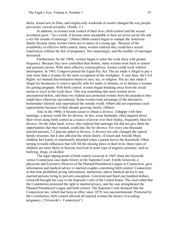skirts, sexual acts in films, and singles-only weekends at resorts changed the way people previously viewed sexuality. (Smith, T.)

In addition, as women took control of their lives, birth control and the sexual revolution grew. "As a result, it became more acceptable to have an active social life and a sex life outside of marriage." (Mintz) Birth control began to reshape the American family because many women chose not to marry at a young age. Because of the availability of effective birth control, many women realized they could have sexual experiences without the fear of pregnancy. Not surprisingly, and the number of marriages decreased.

Furthermore, by the 1960s, women began to enter the work force with greater frequency. Because they now controlled their bodies, many women went back to school and pursued careers. With more effective contraceptives, women could work without interruption. In 1963, Congress passed the Equal Pay Act. The act made it illegal to pay a man more than a woman for the same occupation in the workplace. A year later, the Civil Rights Act banned discrimination based on race, sex, or religion. The act also made it illegal for businesses to reserve specific jobs for males or females, or to dismiss a woman for getting pregnant. With birth control, women began breaking away from the social norms to excel in the work force. This was something that most women never encountered before, and these two federal acts protected women from the prejudices they might have otherwise encountered. Some women took advantage of the alternative homemaker lifestyle and experienced the outside world. Others did not experience such opportunities because of their already growing family. (Mintz)

Also in the 1960s, it became easier to obtain a divorce. Unhappy with their marriage, a spouse could file for divorce. In fact, some husbands, often angered about their wives using birth control as a source of power over their bodies, frequently filed for divorce. On the other hand, wives, who realized that marriage life did not give them the opportunities that they wanted, could also file for divorce. For every one-thousand married persons, 2.2 percent ended in divorce. A divorce not only changed the typical family structure, but it also affected the whole family. (Crouch and Arnold) Many children feel lonely or emotionally detached when a parent leaves the household. Often turning towards influences that will fill the missing piece in their lives; these types of children are more likely to become involved in some type of negative pressure, such as bullying, drugs, or alcohol.

The legal tipping point of birth control occurred in 1965 when the Griswold versus Connecticut case made history at the Supreme Court. Estelle Griswold, a physician and Executive Director of the Planned Parenthood League in Connecticut, gave information and medical advice to married couples concerning birth control. Connecticut at that time prohibited giving information, instruction, and/or medical advice to any married persons trying to prevent conception. Convicted and fined one hundred dollars, Griswold brought her case to the Supreme Court of the United States. The court ruled that the Constitution protected the right to marital privacy, and the case strengthened the Planned Parenthood League and birth control. The Supreme Court declared that the Connecticut law, which had been in effect since 1879, was unconstitutional. Protected by the Constitution, birth control allowed all married women the luxury of avoiding pregnancy. ("Griswold v. Connecticut")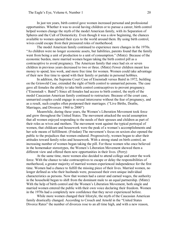In just ten years, birth control gave women increased personal and professional opportunities. Whether it was to avoid having children or to pursue a career, birth control helped women change the myth of the model American family, with its Separation of Spheres and the Cult of Domesticity. Even though it was a slow beginning, the chances available to women opened their eyes to the world around them. By using birth control, wives could escape from their pressured roles of motherhood.

The model American family continued to experience more changes in the 1970s. "As children were no longer economic assets, but liabilities, parents found that the family went from being a unit of production to a unit of consumption." (Mintz) Because of the economic burden, more married women began taking the birth control pill as a contraceptive to avoid pregnancy. The American family that once had six or seven children in previous years decreased to two or three. (Mintz) Fewer children meant less money to spend, less work, and more free time for women. Women could take advantage of their new free time to spend with their family or partake in personal hobbies.

In addition, the Supreme Court Case of Eisenstadt versus Baird in 1972, building on the Griswold Case, extended the right of birth control to unmarried persons. The case gave all females the ability to take birth control contraceptives to prevent pregnancy. ("Eisenstadt v. Baird") Since all females had access to birth control, the myth of the model Caucasian American family continued to restructure. Because of the court case, unmarried couples could engage in sexual intercourse without the fear of pregnancy, and as a result, such couples often postponed their marriages. ("Live Births, Deaths, Marriages, and Divorces: 1960 to 2000")

Meanwhile, during these years, the Women's Liberation Movement took force and grew throughout the United States. The movement attacked the social assumption that all women enjoyed responding to the needs of their spouses and children as part of their roles as wives and mothers. The movement went against the typical portrayal of women, that childcare and housework were the peak of a woman's accomplishments and her sole means of fulfillment. (Friedan) The movement's focus on sexism also opened the public to the prejudices that women endured. Progressively, women began to alter their attitudes toward family roles and housework. With a strong stand on birth control, an increasing number of women began taking the pill. For those women who once believed in the homemaker stereotypes, the Women's Liberation Movement showed them a different view and offered them new opportunities in their lives. (Perry)

At the same time, more women also decided to attend college and enter the work force. With the chance to take contraceptives to escape or delay the responsibilities of motherhood, a greater majority of married women experienced independence for the first time. Women had a chance to fulfill the missing piece of their lives. Married women, no longer defined as who their husbands were, possessed their own unique individual characteristics as persons. Now that women had a career and earned wages, the authority in the household began to shift from the dominant male to an equal partnership. (Mintz) With the help of birth control and the Women's Liberation Movement, both single and married women entered the public with their own voice declaring their freedom. Women in the 1970s had a completely new confidence that they never experienced before.

While more women changed their lifestyle, the myth of the Caucasian American family drastically changed. According to Crouch and Arnold in the "United States Divorce Rates" the number of divorces rose to an all time high, and with a new reason,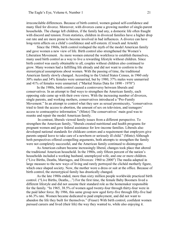irreconcilable differences. Because of birth control, women gained self-confidence and many filed for divorce. Moreover, with divorces came a growing number of single-parent households. The change left children, if the family had any, a domestic life often fraught with discord and tension. From statistics, children in divorced families have a higher drop out rate and are more prone to become involved in bad influences. A divorce can have long-term affects on a child's confidence and self-esteem. (Crouch and Arnold)

Since the 1960s, birth control reshaped the myth of the model American family and gave women a new view of life. Birth control also strengthened the Women's Liberation Movement. As more women entered the workforce to establish themselves, many used birth control as a way to live a rewarding lifestyle without children. Since birth control was easily obtainable to all, couples without children also continued to grow. Many women had a fulfilling life already and did not want to conform to the stereotypical assumptions about women. With the passing of time, the traditional American family slowly changed. According to the United States Census, in 1960 only 30% males and 34% females were unmarried, but by 1980, 37% males were unmarried and 41% of females were unmarried. ("Marital Status Data for 1890 - 1970")

In the 1980s, birth control caused a controversy between liberals and conservatives. In an attempt to find ways to strengthen the American family, each opposing side came up with their own views. With the increasing number of divorces, single parents, and working mothers, conservatives introduced a "Pro-Family Movement." In an attempt to control what they saw as sexual promiscuity, "conservatives tried to limit the access to abortion, the amount of sex on television, and teenagers' access to contraceptive information." (Mintz) The conservatives' main goal was to reunite and repair the model American family.

In contrast, liberals viewed family issues from a different perspective. To strengthen the American family, "liberals created nutritional and health programs for pregnant women and gave federal assistance for low-income families. Liberals also developed national standards for childcare centers and a requirement that employers give parents unpaid leave to take care of a newborn or seriously ill child." (Mintz) Although both perspectives offered compelling arguments, both attempts to strengthen the family were not completely successful, and the American family continued to disintegrate.

As American culture became increasingly liberal, changes took place that altered the traditional American household. In the 1980s, only fifteen percent of the nation's households included a working husband, unemployed wife, and one or more children. ("Live Births, Deaths, Marriages, and Divorces: 1960 to 2000") The media adapted in large measure to the new ways of living and rarely portrayed the clichéd motherly figure, which once shaped society. Now, the mother wore a dress or suit at the office. Because of birth control, the stereotypical family has drastically changed.

As the late 1980s ended, more than sixty million people worldwide practiced birth control. ("Live Births, Deaths,...") For the first time, the female Baby Boomers lived a different lifestyle and did not assume their standard role as the homemaker responsible for the family. "In 1965, 38.5% of women aged twenty-four through thirty-four were in the paid labor force. By 1986, this same group now aged forty-five through fifty-five had a 66.3% rate. Women became dedicated to paid employment, and did not want to abandon the life they built for themselves." (Fraser) With birth control, confident women pursued careers and lived (their life) the way they wanted to, while also enjoying it.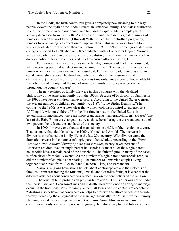In the 1990s, the birth control pill gave a completely new meaning to the way people viewed the myth of the model Caucasian American family. The males' distinctive role as the primary wage earner continued to dissolve rapidly. Men's employment actually decreased from the 1960s. As the cost of living increased, a greater number of females entered the workforce. (Ellwood) With birth control controlling pregnancy, females took advantage of education to improve their status in the work force. More women graduated from college than ever before. In 1990, 18% of women graduated from college compared to 1970 when only 8% graduated with a Bachelor's Degree. Women were also participating in occupations that once distinguished them from males, such as doctors, police officers, scientists, and chief executive officers. (Smith, D.)

Furthermore, with two incomes in the family, women could help the household, while receiving personal satisfaction and accomplishment. The husband and wife shared power when it came to money and the household. For the most part, there was also an equal partnership between husband and wife in situations like housework and childrearing. (Ellwood) Not surprisingly, at this time only nine percent of households fit the definition of the myth of the model American family that once was pervasive throughout the country. (Fraser)

The new realities of family life were in sharp contrast with the idealized philosophy of the American family from the 1960s. Because of birth control, families in the 1990s have fewer children than ever before. According to the United States Census, the average number of children per family was 1.87. ("Live Births, Deaths,…") In contrast to the 1960s, it was now clear that women took birth control to experience a fulfilling life without children. "For the first time in history, the United States is generationally imbalanced: there are more grandparents than grandchildren." (Fraser) The last of the Baby Boom era changed history as those born during the era went against their own parents' beliefs and the standards of the society.

In 1990, for every one-thousand married persons, 4.7% of them ended in divorce. That has more than doubled since the 1960s. (Crouch and Arnold) The increase in divorce rates reshaped the family life in the late 20th century. With divorce came the dramatic increase in the number of single-parent households. According to the *Urban Institute's 1997 National Survey of American Families, twenty-seven percent of* American children lived in single-parent households. Almost all of the single-parent households have a female head of the household. The father figure, in many of the cases, is often absent from family events. As the number of single-parent households rose, so did the number of couple's cohabitating. The number of unmarried couples living together quadrupled from 1970 to 2000. (Halpern, Clark, and Fernandez)

Various religions have strong beliefs about contraceptives and their effects on families. From researching the Muslims, Jewish, and Catholics faiths, it is clear that the different attitudes about contraceptives reflect back on the core beliefs of the religion.

The Muslim faith prohibits all pre-marital relations. This is a serious crime under the Sharia Law, and it can sometimes end in death. However, once an arranged marriage occurs in the traditional Muslim family, almost all forms of birth control are acceptable. "Muslims also believe that contraception helps to preserve the attractiveness of the wife, thereby increasing the enjoyment of the marriage. Ironically, for Muslim women, family planning is vital to their empowerment." (Williams) Some Muslim women use birth control as not only a means to prevent pregnancy, but also a way to establish a confident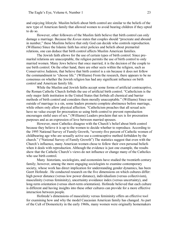and enjoying lifestyle. Muslim beliefs about birth control are similar to the beliefs of the new type of American family that allowed women to avoid bearing children if they opted to do so.<br>However, other followers of the Muslim faith believe that birth control can only

damage a marriage. Because the *Koran* states that couples should "procreate and abound in number," these Muslims believe that only God can decide who controls reproduction. (Williams) Since the Islamic faith has strict policies and beliefs about premarital relations, one can deduce that birth control affects Muslim American families.

The Jewish faith allows for the use of certain types of birth control. Since pre marital relations are unacceptable, the religion permits the use of birth control to only married women. Many Jews believe that once married, it is the decision of the couple to use birth control. On the other hand, there are other sects within the religion, such as Conservative Judaism, that believe that birth control is a sin because it does not follow the commandment to "choose life." (Williams) From the research, there appears to be no consensus on whether the Jewish religion has had any significant influence on birth control and American family life.

While the Muslim and Jewish faiths accept some forms of artificial contraceptive, the Roman Catholic Church forbids the use of artificial birth control. "Catholicism is the only major faith institution in the United States that forbids all chemical and barrier methods of birth control and considers them morally unacceptable." (Williams) Since sex outside of marriage is a sin, some leaders promote complete abstinence before marriage, while others only allow physical affection. "Catholicism preaches that all sexual acts have no value except for procreation so using birth control to prevent reproduction encourages sinful uses of sex." (Williams) Leaders proclaim that sex is for procreation purposes and as an expression of love between married spouses.

However, most Catholics disagree with the Church's belief about birth control because they believe it is up to the women to decide whether to reproduce. According to the 1995 National Survey of Family Growth, "seventy-five percent of Catholic women of childbearing age who are sexually active use a contraceptive method forbidden by the church." ("National Survey of Family Growth") The statistics suggest that even with the Church's influence, many American women chose to follow their own personal beliefs when it deals with reproduction. Although the evidence is just one example, the results show that the Catholic Church's views do not influence or change many of the Catholics who use birth control.

Many historians, sociologists, and economists have studied the twentieth century family; however, among the more engaging sociologists to examine contemporary society, whose work has direct implication for understanding gender dynamics, has been Geert Hofstede . He conducted research on the five dimensions on which cultures differ: high power distance (versus low power distance), individualism (versus collectivism), masculinity (versus femininity), uncertainty avoidance index (versus uncertainty), and long-term orientation (versus short-term orientation). Hofstede believed that each culture is different and having insights into these other cultures can provide for a more effective interaction between people.

Hofstede's dimensions of masculinity versus femininity offers an effective tool for examining how and why the model Caucasian American family has changed. As part of the Cult of Domesticity in the early 1960s, many women were originally homemakers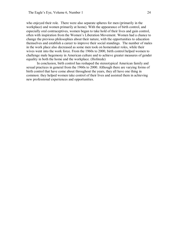who enjoyed their role. There were also separate spheres for men (primarily in the workplace) and women primarily at home). With the appearance of birth control, and especially oral contraceptives, women began to take hold of their lives and gain control, often with inspiration from the Women's Liberation Movement. Women had a chance to change the previous philosophies about their nature, with the opportunities to education themselves and establish a career to improve their social standings. The number of males in the work place also decreased as some men took on homemaker roles, while their wives went into the work force. From the 1960s to 2000, birth control helped women to challenge male hegemony in American culture and to achieve greater measures of gender equality in both the home and the workplace. (Hofstede)

In conclusion, birth control has reshaped the stereotypical American family and sexual practices in general from the 1960s to 2000. Although there are varying forms of birth control that have come about throughout the years, they all have one thing in common: they helped women take control of their lives and assisted them in achieving new professional experiences and opportunities.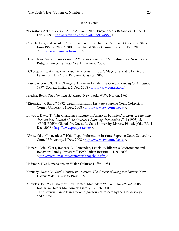## Works Cited

- "Comstock Act." *Encyclopedia Britannica*. 2009. Encyclopedia Britannica Online. 12 Feb.  $2009 \leq http$ ://search.eb.com/eb/article-9124952/>.
- Crouch, John, and Arnold, Colleen Fannin. "U.S. Divorce Rates and Other Vital Stats from 1950 to 2000." 2003. The United States Census Bureau. 1 Dec. 2008 <http://www.divorcereform.org/>.
- Davis, Tom. *Sacred Works Planned Parenthood and its Clergy Alliances*. New Jersey: Rutgers University Press New Brunswick, 2005.
- DeTocqueville, Alexis. *Democracy in America*. Ed. J.P. Mayer, translated by George Lawrence. New York: Perennial Classics, 2000.
- Fraser, Arvonne S. "The Changing American Family." *In Context: Caring for Families*. 1997. Context Institute. 2 Dec. 2008 <http://www.context.org/>.
- Friedan, Betty. *The Feminine Mystique*. New York: W.W. Norton, 1963.
- "Eisenstadt v. Baird." 1972. Legal Information Institute Supreme Court Collection. Cornell University. 1 Dec. 2008 <http://www.law.cornell.edu/>.
- Ellwood, David T. "The Changing Structure of American Families." *American Planning Association, Journal of the American Planning Association* 59.1 (1993): 3. ABI/INFORM Global. ProQuest. La Salle University Library, Philadelphia, PA. 1 Dec. 2008 <http://www.proquest.com/>.
- "Griswold v. Connecticut." 1965. Legal Information Institute Supreme Court Collection. Cornell University. 1 Dec. 2008 <http://www.law.cornell.edu/>.
- Halpern, Ariel, Clark, Rebecca L., Fernandez, Leticia. "Children's Environment and Behavior: Family Structure." 1999. Urban Institute. 1 Dec. 2008 <http://www.urban.org/center/anf/snapshots.cfm/>.
- Hofstede. Five Dimensions on Which Cultures Differ. 1981.
- Kennedy, David M. *Birth Control in America: The Career of Margaret Sanger*. New Haven: Yale University Press, 1970.
- Knowles, Jon. "A History of Birth Control Methods." *Planned Parenthood*. 2006. Katharine Dexter McCormick Library. 12 Feb. 2009 <http://www.plannedparenthood.org/resources/research-papers/bc-history-6547.htm/>.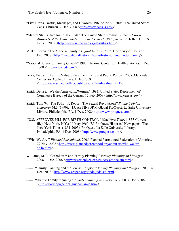- "Live Births, Deaths, Marriages, and Divorces: 1960 to 2000." 2008. The United States Census Bureau. 2 Dec. 2008 <http://www.census.gov/>.
- "Marital Status Data for 1890 1970." The United States Census Bureau. *Historical Abstracts of the United States, Colonial Times to 1970, Series A*. 160171, 1989. 12 Feb. 2009 <http://www.unmarried.org/statistics.html/>.
- Mintz, Steven. "The Modern Family." *Digital History*. 2007. University of Houston. 1 Dec. 2008 <http://www.digitalhistory.uh.edu/historyonline/modernfamily>.
- "National Survey of Family Growth" 1995. National Center for Health Statistics. 1 Dec.  $2008 \leq http$ ://www.cdc.gov/>.
- Perry, Twila L. "Family Values, Race, Feminism, and Public Policy." 2008. Markkula Center for Applied Ethics. 1 Dec 2008 <http://www.scu.edu/ethics/publications/familyvalues.html>.
- Smith, Denise. "We the American...Women." 1993. United States Department of Commerce Bureau of the Census. 12 Feb. 2009 <http://www.census.gov/>.
- Smith, Tom W. "The Polls—A Report: The Sexual Revolution?" *Public Opinion Quarterly* 54.3 (1990): 415. ABI/INFORM Global ProQuest. La Salle University Library. Philadelphia, PA. 1 Dec. 2008 < http://www.proquest.com/>.
- "U.S. APPROVES PILL FOR BIRTH CONTROL." New York Times (1857-Current file). New York, N.Y.) 10 May 1960, 75. ProQuest Historical Newspapers The New York Times (1851-2005). ProQuest. La Salle University Library, Philadelphia, PA. 1 Dec. 2008 <http://www.proquest.com/>.
- "Who We Are." *Planned Parenthood*. 2005. Planned Parenthood Federation of America. 29 Nov. 2008 <http://www.plannedparenthood.org/about-us/who-we-are-4648.html>.
- Williams, M.T. "Catholicism and Family Planning." *Family Planning and Religion*. 2008. 4 Dec. 2008 <http://www.epigee.org/guide/Catholicism.html>.
- . "Family Planning and the Jewish Religion." *Family Planning and Religion*. 2008. 4 Dec. 2008 <http://www.epigee.org/guide/judaism.html>.
- . "Islamic Family Planning." *Family Planning and Religion*. 2008. 4 Dec. 2008 <http://www.epigee.org/guide/islamic.html>.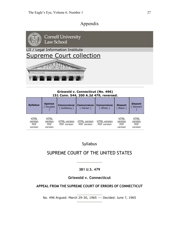# Appendix



## **Griswold v. Connecticut (No. 496) 151 Conn. 544, 200 A.2d 479, reversed.**

| <b>Syllabus</b>                                 | <b>Opinion</b>                                  | <b>Concurrence</b>                 | <b>Concurrence</b>          | <b>Concurrence</b>          | <b>Dissent</b>                                  | <b>Dissent</b>                                  |
|-------------------------------------------------|-------------------------------------------------|------------------------------------|-----------------------------|-----------------------------|-------------------------------------------------|-------------------------------------------------|
|                                                 | [ Douglas                                       | [Goldberg]                         | [ Harlan ]                  | [ White ]                   | [ Black ]                                       | Stewart                                         |
| <b>HTML</b><br>version<br><b>PDF</b><br>version | <b>HTML</b><br>version<br><b>PDF</b><br>version | <b>HTML</b> version<br>PDF version | HTML version<br>PDF version | HTML version<br>PDF version | <b>HTML</b><br>version<br><b>PDF</b><br>version | <b>HTML</b><br>version<br><b>PDF</b><br>version |

## Syllabus

# SUPREME COURT OF THE UNITED STATES

## **381 U.S. 479**

## **Griswold v. Connecticut**

## **APPEAL FROM THE SUPREME COURT OF ERRORS OF CONNECTICUT**

No. 496 Argued: March 29-30, 1965 --- Decided: June 7, 1965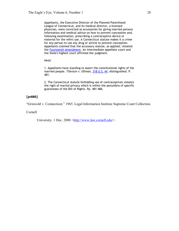Appellants, the Executive Director of the Planned Parenthood League of Connecticut, and its medical director, a licensed physician, were convicted as accessories for giving married persons information and medical advice on how to prevent conception and, following examination, prescribing a contraceptive device or material for the wife's use. A Connecticut statute makes it a crime for any person to use any drug or article to prevent conception. Appellants claimed that the accessory statute, as applied, violated the Fourteenth Amendment. An intermediate appellate court and the State's highest court affirmed the judgment.

*Held:*

1. Appellants have standing to assert the constitutional rights of the married people. *Tileston v. Ullman,* 318 U.S. 44, distinguished. P. 481.

2. The Connecticut statute forbidding use of contraceptives violates the right of marital privacy which is within the penumbra of specific guarantees of the Bill of Rights. Pp. 481‐486.

## **[p480]**

"Griswold v. Connecticut." 1965. Legal Information Institute Supreme Court Collection.

Cornell

University. 1 Dec. 2008 <http://www.law.cornell.edu/>.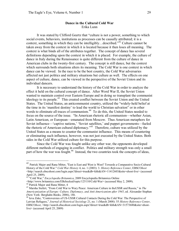## **Dance in the Cultural Cold War** Erika Lunn

It was stated by Clifford Geertz that "culture is not a power, something to which social events, behaviors, institutions as processes can be causally attributed; it is a context, something in which they can be intelligibly... described.<sup> $342$ </sup> Culture cannot be taken away from the context in which it is located because it then loses all meaning. The context is what binds all of the attributes together. The concept of dance has several definitions depending upon the context in which it is placed. For example, the culture of dance in Italy during the Renaissance is quite different from the culture of dance in American clubs in the twenty-first century. The concept is still dance, but the context which surrounds both situations alters its meaning. The Cold War is one context in which dance can be viewed. In the race to be the best country, the Cold War adversaries affected not just politics and military situations but culture as well. The effects on one aspect of culture, dance, can be viewed in the perspective of the Soviet Union and its individual dancers.

It is necessary to understand the history of the Cold War in order to analyze the effect it held on the cultural concept of dance. After Word War II, the Soviet Union wanted to maintain control over Eastern Europe and in doing so transplant the communist ideology to its people.<sup>43</sup> This created conflict between the Soviet Union and the United States. The United States, an anticommunist country, utilized the "widely-held belief at the time in its 'manifest destiny' to lead the world to Christian salvation" or in other words to eliminate all traces of communism.<sup>44</sup> To do this, the United States needed to focus on the source of the issue. "In American rhetoric all communism—whether Asian, Latin American, or European—emanated from Moscow. Thus American metaphors for Soviet influence—'captive nations,' 'Soviet satellites,' and puppet governments—fueled the rhetoric of American cultural diplomacy."<sup>45</sup> Therefore, culture was utilized by the United States as a means to counter the communist influence. This means of countering or eliminating such influence, however, was not just executed by the United States. Both sides in the Cold War utilized culture for this purpose.

Since the Cold War was fought unlike any other war, the opponents developed different methods of engaging in conflict. Politics and military strength was only a small part of how the war was fought.<sup>46</sup> Instead, the two countries took the concepts of ideas,

<sup>&</sup>lt;sup>42</sup> Patrick Major and Rana Mitter, "East is East and West is West? Towards a Comparative Socio-Cultural History of the Cold War." *Cold War History* 4, no. 1 (2003): 3. *History Reference Center*, EBSCO*host* <http://search.ebscohost.com/login.aspx?direct=true&db=khh&AN=11412603&site=ehost-live> (accessed April 25, 2009).

<sup>&</sup>lt;sup>43</sup> "Cold War," *Encyclopedia Britannica*, 2009 Encyclopedia Britannica Online<br>
<http://www.britannica.com/EBchecked/topic/125110/Cold-War> (accessed May 2, 2009).

the patrick Major and Rana Mitter, 4<br><sup>45</sup> Marsha Siefert, "From Cold War to Wary Peace: American Culture in theUSSR and Russia," in *The Americanization of Europe: Culture, Diplomacy, and Anti-Americanism after 1945, ed. Alexander Stephan* (New York: Berghahn Books, 2006). 186.

 $^{46}$  Ieva Zake, "Controversies of US-USSR Cultural Contacts During the Cold War: The Perspective of Latvian Refugees," *Journal of Historical Sociology* 21, no. 1 (March 2008): 55 *History Reference Center*, EBSCO*host*, <http://search.ebscohost.com/login.aspx?direct=true&db=khh&AN=31573680&site=ehost live> (accessed April 25, 2009)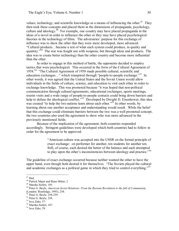values, technology, and scientific knowledge as a means of influencing the other.<sup>47</sup> They then took these concepts and placed them in the dimensions of propaganda, psychology, culture and ideology.<sup>48</sup> For example, one country may have placed propaganda in the ideas of a novel in order to influence the other or they may have placed psychological theories in the technology of films. The adversaries' purpose for this exchange of influence was to show the other that they were more developed, more advanced. "Cultural products…became a test of what each system could produce, in quality and quantity."<sup>49</sup> The war was fought not with weapons, but through ideas and products. The idea was to create better technology than the other country and become more influential than the other.

In order to engage in this method of battle, the opponents decided to employ tactics that were psychological. This occurred in the form of the Cultural Agreement of 1958.<sup>50</sup> "The Cultural Agreement of 1958 made possible cultural, scientific and education exchanges..." which transpired through "people-to-people exchange."<sup>51</sup> In other words, it was agreed that the United States and the Soviet Union would allow individuals in the fields of culture, science, and education to visit each other in order to exchange knowledge. This was promoted because "it was hoped that non-political communication through cultural agreements, educational exchanges, sports meetings, tourist visits and a wide range of people-to-people contacts could bring down barriers and help to defuse the ideological conflict."<sup>52</sup> Developed by Dwight D. Eisenhower, this idea was created "to help the two nations learn about each other."<sup>53</sup> In other words, by learning about one another acceptance and understanding would result. While the belief that this exchange could eliminate barriers between the two was a well promoted concept, the two countries also used the agreement to show who was more advanced in the previously mentioned fields.

Because of the implication of the agreement, both countries responded accordingly. Stringent guidelines were developed which both countries had to follow in order for the agreement to be approved.

> "American culture was accepted into the USSR on the formal principle of exact exchange: on performer for another, ten students for another ten. Still, of course, each desired the better of the balance and each attempted to play upon the other's inconsistencies between ideology and practice."<sup>54</sup>

The guideline of exact exchange occurred because neither wanted the other to have the upper hand, even though both desired it for themselves. "The Soviets played the cultural and academic exchanges as a political game in which they tried to control everything.<sup>55</sup>

<sup>&</sup>lt;sup>47</sup> Ibid.<br><sup>48</sup> Patrick Major and Rana Mitter, 2<br><sup>49</sup> Marsha Siefert, 185.<br><sup>50</sup> Peter G. Boyle, *American-Soviet Relations: From the Russian Revolution to the fall of Communism*,

<sup>(</sup>London: Routledge, 1993), 258.<br>
<sup>51</sup> Peter G. Boyle, 258-259.<br>
<sup>52</sup> Peter G. Boyle, 258.<br>
<sup>53</sup> Ieva Zake, 57.<br>
<sup>54</sup> Marsha Siefert, 187.<br>
<sup>55</sup> Ieva Zake, 59.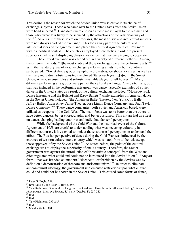This desire is the reason for which the Soviet Union was selective in its choice of exchange subjects. Those who came over to the United States from the Soviet Union were hand selected.<sup>56</sup> Candidates were chosen as those most "loyal to the regime" and those who "were less likely to be seduced by the attractions of the American way of life."<sup>57</sup> As a result of these selection processes, the most artistic and intellectual subjects were not always apart of the exchange. This took away part of the cultural and intellectual ideas of the agreement and placed the Cultural Agreement of 1958 more within a political context. The countries employed these tactics in order to present superiority, while still displaying physical evidence that they were trying to cooperate.

The cultural exchange was carried out in a variety of different methods. Among the different methods, "[t]he most visible of those exchanges were the performing arts."<sup>58</sup> With the mandatory law of exact exchange, performing artists from both countries participated. "Soviet dance groups, symphony orchestras, ice shows, circuses, as well as the many individual artists…visited the United States each year…[a]nd in the Soviet Union, American ensembles and soloists invariable played to full houses."<sup>59</sup> Many different performing arts groups were part of the cultural exchange. One particular group that was included in the performing arts group was dance. Specific examples of Soviet dance in the United States as a result of the cultural exchange included, "Moiseyev Folk Dance Ensemble and the Bolshoi and Kirov Ballets," while examples of American dance in the Soviet Union included, "the American Ballet Theater, New York City Ballet, Jeffrey Ballet, Alvin Ailey Dance Theater, Jose Limon Dance Company, and Paul Taylor Dance Company."<sup>60</sup> These dance companies, both Soviet and American based, were utilized as weapons of the Cold War. The main focus was to be better than the other: to have better dancers, better choreography, and better costumes. This in turn had an effect on dance, changing leading countries and individual dancers' perceptions.

While the background of the Cold War and the historical event of the Cultural Agreement of 1958 are crucial to understanding what was occurring culturally in different countries, it is essential to look at those countries' perceptions to understand the effect. The Russian perspective of dance during the Cold War was influenced by the entrance of western culture into a country which was isolated from all beliefs except those approved of by the Soviet Union.<sup>61</sup> As stated before, the point of the cultural exchange was to display the superiority of one's country. Therefore, the Soviet government was against the introduction of "new artistic concepts" from the West and often regulated what could and could not be introduced into the Soviet Union.<sup>62</sup> "Any art form…that was branded as 'modern,' 'decadent,' or forbidden by the Soviets was by definition a demonstration of freedom and anticommunism.<sup>563</sup> In order to eliminate anticommunist ideology, the government implemented restrictions upon what culture could and could not be shown in the Soviet Union. This caused some forms of dance,

<sup>56</sup> Peter G. Boyle, 259. <sup>57</sup> Ieva Zake, 59 and Peter G. Boyle, 259. <sup>58</sup> Yale Richmond, "Cultural Exchange and the Cold War: How the Arts Influenced Policy," *Journal of Arts Management, Law, and Society, 35, no. 3 (October 1): 239-245.* <sup>59</sup> Ibid.

 $60$  Ibid.

 $61$  Yale Richmond, 239-245

 $62$  Ibid.

<sup>63</sup> Marsha Siefert, 191.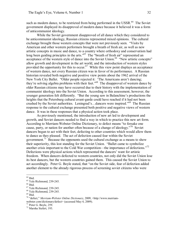such as modern dance, to be restricted from being performed in the USSR.<sup>64</sup> The Soviet government displayed its disapproval of modern dance because it believed it was a form of anticommunist ideology.

While the Soviet government disapproved of all dance which they considered to be anticommunist ideology, Russian citizens represented mixed opinions. The cultural exchange brought those western concepts that were not previously seen. "Visits by American and other western performers brought a breath of fresh air, as well as new artistic concepts in music and dance, to a country where orthodoxy and conservatism had long been guiding principles in the arts."<sup>65</sup> The "breath of fresh air" represented an acceptance of the western style of dance into the Soviet Union.<sup>66</sup> "New artistic concepts" allow growth and development in the art world, and the introduction of western styles provided the opportunity for this to occur.<sup>67</sup> While this view point displays an acceptance of western dance, not every Russian citizen was in favor of its performance. A Russian historian revealed both negative and positive view points about the 1962 arrival of the New York City Ballet. "Older people rejected it: 'The Americans aren't dancing; they're solving algebra problems with their feet."<sup>68</sup> The disapproval of western dance by older Russian citizens may have occurred due to their history with the implementation of communist ideology into the Soviet Union. According to this assessment, however, the younger generation felt differently. "But the young saw in Balanchine's productions the heights that the Petersburg cultural avant-garde could have reached if it had not been crushed by the Soviet authorities. Leningrad's...dancers were inspired."<sup>69</sup> The Russian response to the cultural exchange presented both positive and negative views of western dance. It was in these responses that a physical action took place.

As previously mentioned, the introduction of new art led to development and growth, and Soviet dancers needed to find a way in which to practice this new art form. According to Merriam-Webster Online Dictionary, to defect means "to forsake one cause, party, or nation for another often because of a change of ideology."<sup>70</sup> Soviet dancers began to act with their feet, defecting to other countries which would allow them to dance as they pleased. The act of defection caused fear within the Soviet government.<sup>71</sup> Because the opponents used the cultural exchange as a means to show their superiority, this lost standing for the Soviet Union. "Ballet came to symbolize another crisis important to the Cold War competition—the importance of defections."<sup>72</sup> Defections were physical actions which represented the dancers' want for artistic freedom. When dancers defected to western countries, not only did the Soviet Union lose its best dancers, but the western countries gained them. This caused the Soviet Union to act accordingly. Peter G. Boyle stated, that "on the Soviet side, fear of defection added another element to the already rigorous process of screening soviet citizens who were

 $64$  Ibid.

 $^{65}$  Yale Richmond, 239-245.<br> $^{66}$  Ibid.<br> $^{67}$  Yale Richmond, 239-245.

<sup>&</sup>lt;sup>68</sup> Yale Richmond, 239-245.<br><sup>69</sup> Ibid.<br><sup>70</sup> "defect," *Merriam-Webster Online Dictionary*, 2009, <http://www.merriamwebster.com/dictionary/defect> (accessed May 4, 2009).<br><sup>71</sup> Peter G. Boyle, 259.<br><sup>72</sup> Marsha Siefert, 193.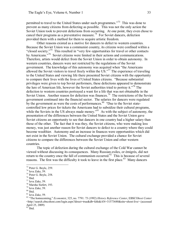permitted to travel to the United States under such programmes."<sup>73</sup> This was done to prevent as many citizens from defecting as possible. This was not the only action the Soviet Union took to prevent defections from occurring. At one point, they even chose to cancel their programs as a preventative measure.<sup>74</sup> For Soviet dancers, defection provided them with a method for them to acquire artistic freedom.

Other reasons existed as a motive for dancers to defect to western countries. Because the Soviet Union was a communist country, its citizens were confined within a "closed society."<sup>75</sup> This resulted in "very few opportunities for travel or other contacts by Americans."<sup>76</sup> Soviet citizens were limited in their actions and communications. Therefore, artists would defect from the Soviet Union in order to obtain autonomy. In western countries, dancers were not restricted by the regulations of the Soviet government. The knowledge of this autonomy was acquired when "the Americans allowed the Soviet visitors to travel freely within the US.<sup> $27$ </sup> The experience of traveling to the United States and viewing life there presented Soviet citizens with the opportunity to compare their lives with the lives of United States citizens. "Because substantial privileges were given to top Soviet performers, these defections appeared to demonstrate the lure of American life, however the Soviet authorities tried to portray it.<sup> $78$ </sup> The defection to western countries portrayed a want for a life that was not obtainable in the Soviet Union. Another reason for defection was finances.<sup>79</sup> The restrictions of the Soviet government continued into the financial sector. The salaries for dancers were regulated by the government as were the costs of performances.<sup>80</sup> "Due to the Soviet statecontrolled low prices for tickets the Americans had to subsidize their cultural programs, while the Soviets in the US always made money.<sup> $581$ </sup> As with the subject of autonomy, the presentation of the differences between the United States and the Soviet Union gave Soviet citizens an opportunity to see that dancers in one country had a higher salary than those of the other. The fact that it was they, the Soviet citizens, who were making less money, was just another reason for Soviet dancers to defect to a country where they could become wealthier. Autonomy and an increase in finances were opportunities which did not exist in the Soviet Union. The cultural exchange provided a chance for Soviet citizens to compare the differences between the Soviet Union and other western countries.

The topic of defection during the cultural exchange of the Cold War cannot be viewed without discussing its consequences. Many Russian exiles, or émigrés, did not return to the country once the fall of communism occurred.<sup>82</sup> This is because of several reasons. The first was the difficulty it took to leave in the first place.<sup>83</sup> Many dancers

 $83$  Ibid.

<sup>&</sup>lt;sup>73</sup> Peter G. Boyle, 259.<br>
<sup>74</sup> Ieva Zake, 59.<br>
<sup>75</sup> Peter G. Boyle, 258.<br>
<sup>76</sup> Ibid.<br>
<sup>77</sup> Ieva Zake, 59.<br>
<sup>78</sup> Marsha Siefert, 193.<br>
<sup>79</sup> Ieva Zake, 59.

 $80$  Ibid.

<sup>81</sup> Ieva Zake, 59.

<sup>82</sup> "The homecoming," *Economist*, 325, no. 7791: 73 (1992) *History Reference Center*, EBSCO*host Center* <http://search.ebscohost.com/login.aspx?direct=true&db=khh&AN=31573680&site=ehostlive> (accessed April 25, 2009)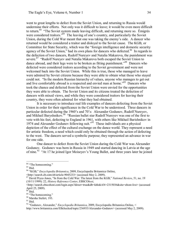went to great lengths to defect from the Soviet Union, and returning to Russia would undermine their efforts. Not only was it difficult to leave; it would be even more difficult to return.<sup>84</sup> "The Soviet system made leaving difficult, and returning more so. Émigrés were considered traitors.<sup>35</sup> The leaving of one's country, and particularly the Soviet Union, during the Cold War meant that one was taking the enemy's side. A dancer who returned would be considered a traitor and disloyal to the Soviet cause. The KGB, or Committee for State Security, which was the "foreign intelligence and domestic security agency of the Soviet Union," had its own plans for dancers who defected.<sup>86</sup> In regards to the defection of two dancers, Rudolf Nureyev and Natalia Makarova, the punishment was severe.<sup>87</sup> "Rudolf Nureyev and Natalia Makarova both escaped the Soviet Union to dance abroad, and their legs were to be broken as fitting punishment.<sup>388</sup> Dancers who defected were considered traitors according to the Soviet government and were not welcomed back into the Soviet Union. While this is true, those who managed to leave were admired by Soviet citizens because they were able to obtain what those who stayed could not. "In the modern Russian hierarchy of values, anyone who manages to get out and live comfortably abroad is a respected and envied man at home."<sup>89</sup> Dancers who took the chance and defected from the Soviet Union were envied for the opportunities they were able to obtain. The Soviet Union and its citizens treated the defection of dancers with mixed views, and while they were considered traitors for leaving their country, they were often admired for what they had obtained.

It is necessary to introduce real life examples of dancers defecting from the Soviet Union in order for their significance in the Cold War to be understood. Three dancers in particular defected during the 1960's and 70's: Alexander Godunov, Rudolf Nureyev, and Mikhail Baryshnikov.<sup>90</sup> "Russian ballet star Rudolf Nureyev was one of the first to vote with his feet, defecting to England in 1961, with others like Mikhail Barishnikov in 1974 and Alexander Godunov following suit."<sup> $91$ </sup> These individuals are a physical depiction of the effect of the cultural exchange on the dance world. They represent a need for artistic freedom, a need which could only be obtained through the action of defecting to the west. The dancers served a symbolic purpose; they represented an advance in war for one side.

One dancer to defect from the Soviet Union during the Cold War was Alexander Godunov. Godunov was born in Russia in 1949 and started dancing in Latvia at the age of nine.<sup>92</sup> "At 17 he joined Igor Moiseyev's Young Ballet, and three years later he joined

<sup>&</sup>lt;sup>84</sup> "The homecoming."

 $85$  Ibid.

<sup>86</sup> "KGB," *Encyclopedia Britannica*, 2009, Encyclopedia Britannica Online,

<sup>&</sup>lt;http://search.eb.com/eb/article9045233> (accessed May 2, 2009).

<sup>&</sup>lt;sup>87</sup> David Pryce-Jones, "In from the Cold War: The latest from the KGB," *National Review*, 51, no. 19 (10/11/1999): 22, *History Reference Center*, EBSCO*host*,

<sup>&</sup>lt;http://search.ebscohost.com/login.aspx?direct=true&db=khh&AN=2315036&site=ehostlive> (accessed April 25, 2009). <sup>88</sup> Ibid.

<sup>&</sup>lt;sup>89</sup> "The homecoming."

<sup>90</sup> Marsha Siefert, 193.

 $^{91}$  Ibid.

<sup>92</sup> "Godunov, Alexander," *Encyclopedia Britannica*, 2009, Encyclopedia Britannica Online, <

http://www.britannica.com/EBchecked/topic/236933/Alexander-Godunov> (accessed May 2, 2009).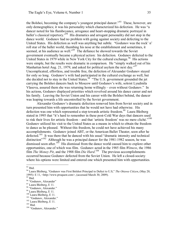the Bolshoi, becoming the company's youngest principal dancer.<sup> $\frac{93}{3}$ </sup> These, however, are only demographics; it was his personality which characterized his defection. He was "a dancer noted for his flamboyance, arrogance and heart-stopping dramatic portrayal in ballet's classical repertory."<sup>94</sup> His dramatics and arrogant personality did not stop in the dance world. Godunov had no problem with going against society and defecting to the United States. His defection as well was anything but subtle. "Godunov was the rock' n' roll star of the ballet world, thumbing his nose at the establishment and sometimes, it seemed, at his audience as well."<sup>95</sup> The defiance he showed towards the Soviet government eventually became a physical action: his defection. Godunov defected to the United States in 1979 while in New York City for the cultural exchange.<sup>96</sup> His actions were simple, but the results were dramatic in comparison. He "simply walked out of his Manhattan hotel Aug. 21, 1979, and asked for political asylum the next day.<sup>"97</sup> Uncomplicated, effortless, and trouble free, the defection of Alexander Godunov stayed for only so long. Godunov's wife had participated in the cultural exchange as well, but she decided not to stay in the United States.<sup>98</sup> "The U.S. government grounded the jet carrying the Bolshoi dancers back to Moscow until Godunov's wife, soloist Lyudmila Vlasova, assured them she was returning home willingly – even without Godunov." In his actions, Godunov displayed priorities which revolved around his dance career and not his family. Leaving the Soviet Union and his career with the Bolshoi behind, the dancer was leaping towards a life uncontrolled by the Soviet government.

Alexander Godunov's dramatic defection removed him from Soviet society and in turn presented him with opportunities that he would not have had otherwise. His defection was one which represented a step towards artistic freedom.<sup>99</sup> Laura Bleiberg stated in 1995 that "it's hard to remember in these post-Cold War days that dancers used to risk their lives for artistic freedom – and that 'artistic freedom' was no mere cliché."<sup>100</sup> Godunov utilized his visit to the United States as a means in which to obtain the freedom to dance as he pleased. Without this freedom, he could not have achieved his many accomplishments. Godunov joined ABT, or the American Ballet Theater, soon after he defected.<sup>101</sup> It was there that he danced with his usual "dramatic intensity and technical distinction<sup> $102$ </sup> Although he was a principal dancer for the 1981-1982 season, he was dismissed soon after.<sup>103</sup> His dismissal from the dance world caused him to explore other opportunities, one of which was film. Godunov acted in the 1985 film *Witness*, the 1986 film *The Money Pit*, and the 1988 film *Die Hard*.<sup>104</sup> The previous accomplishments occurred because Godunov defected from the Soviet Union. He left a closed-society where his options were limited and entered one which presented him with opportunities.

 $93$  Ibid.

<sup>94</sup> Laura Bleiberg, "Godunov was First Bolshoi Principal to Defect to U.S," *The Ottawa Citizen*, (May 20, 1995): <sup>E</sup> 11, <http://www.proquest.com>, (accessed March 30, 2009). <sup>95</sup> Ibid.

<sup>&</sup>lt;sup>96</sup> "Godunov, Alexander"<br><sup>97</sup> Laura Bleiberg, E 11.

<sup>&</sup>lt;sup>98</sup> "Godunov, Alexander."<br><sup>99</sup> Laura Bleiberg, E 11.

<sup>&</sup>lt;sup>100</sup> Laura Bleiberg, E 11.<br><sup>101</sup> "Godunov, Alexander."<br><sup>102</sup> Laura Bleiberg, E 11.

 $\frac{103 \text{ Bud.}}{104}$  "Godunov, Alexander."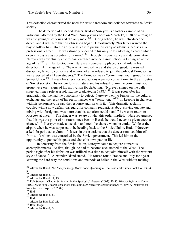This defection characterized the need for artistic freedom and defiance towards the Soviet society.<br>The defection of a second dancer, Rudolf Nureyev, is another example of an

individual affected by the Cold War. Nureyev was born on March 17, 1938 on a train; he was the youngest of four and the only male.<sup>105</sup> During school, he was introduced to dance, and it was here that his obsession began. Unfortunately, "his father wanted the boy to follow him into the army or at least to pursue his early academic successes in a professional career….He was strongly opposed to his only son's adopting a career which even in Russia was eccentric for a man."<sup>106</sup> Through his persistence and determination, Nureyev was eventually able to gain entrance into the Kirov School in Leningrad at the age of  $17<sup>107</sup>$  Similar to Godunov, Nureyev's personality played a vital role in his defection. At the age of 17, "he was skinny, solitary and sharp-tongued; he resisted discipline, failed to conform and – worst of all – refused to join the political Komosol, as was expected of all keen students." The Komosol was a "communist youth group" in the Soviet Union.<sup>108</sup> These characteristics and actions were not conventional to the attributes of Soviet society. His nonconformist nature and his refusal to join the communist youth group were early signs of his motivation for defecting. "Nureyev shined on the ballet stage, earning a role as a soloist... he graduated in  $1958.^{109}$  It was soon after his graduation that he had the opportunity to defect. Nureyev went to France for the cultural exchange and the result of his performances was "sensational."<sup>110</sup> In keeping in character with his personality, he saw the response and ran with it. "This dramatic acclaim, coupled with a now defiant disregard for company regulations about staying out late and mixing with foreigners, was more than his superiors could stand;" he was to return to Moscow at once.<sup>111</sup> The dancer was aware of what this order implied. "Nureyev guessed that this was the point of no return; once back in Russia he would never be given another chance."<sup>112</sup> Nureyev made a decision and took the chance when he could. While at the airport when he was supposed to be heading back to the Soviet Union, Rudolf Nureyev asked for political asylum.  $113$  It was in these actions that the dancer removed himself from a life which was controlled by the Soviet government. This led him to the opportunity to pursue his goals and chose his own path in life.

In defecting from the Soviet Union, Nureyev came to acquire numerous accomplishments. At first, though, he had to become accustomed to the West. The period right after his defection was utilized as a time to acquaint himself with the western style of dance.<sup>114</sup> Alexander Bland stated, "He toured round France and Italy for a year – learning the hard way the conditions and methods of ballet in the West without making

<sup>105</sup> Alexander Bland, *The Nureyev Image* (New York: Quadrangle/ The New York Times Book Co., 1976),

<sup>&</sup>lt;sup>107</sup> Alexander Bland, 11, 13.<br><sup>108</sup> Rob Staeger, "Chapter 9: Asylum in the Spotlight," *Asylees*, (2003): 30-33, *History Reference Center*, EBSCOhost <http://search.ebscohost.com/login.aspx?direct=true&db=khh&AN=12193771&site=ehostlive> (accessed April 27, 2009).<br><sup>109</sup> Ibid.<br><sup>110</sup> Alexander Bland, 20.<br><sup>111</sup> Ibid.<br><sup>112</sup> Alexander Bland, 20-21.<br><sup>113</sup> Rob Staeger.<br><sup>114</sup> Alexander Bland, 24.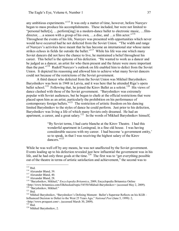any ambitious experiments."<sup>115</sup> It was only a matter of time, however, before Nureyev began to mass produce his accomplishments. These included, but were not limited to "personal ballet[s], ... perform[ing] in a modern-dance ballet to electronic music, ... filmdirector, …a season with a group of his own, …a disc, and …a film actor."<sup>116</sup> Throughout the events of his life, Nureyev was presented with opportunities which never would have occurred had he not defected from the Soviet Union. "The width and range of Nureyev's activities have meant that he has become an international star whose name strikes echoes in fields far outside the ballet."<sup>117</sup> While his life was one which many Soviet dancers did not have the chance to live, he maintained a belief throughout his career. This belief is the epitome of his defection. "He wanted to work as a dancer and be judged as a dancer, an artist for who them present and the future were more important than the past."<sup>118</sup> Rudolf Nureyev's outlook on life enabled him to defect from the Soviet Union. It depicted his reasoning and allowed him to achieve what many Soviet dancers could not because of the restrictions of the Soviet government.

A third dancer who defected from the Soviet Union was Mikhail Baryshnikov. Baryshnikov was born in 1948 in Latvia, and it was here that he attended Riga's opera ballet school.<sup>119</sup> Following that, he joined the Kirov Ballet as a soloist.<sup>120</sup> His views of dance clashed with those of the Soviet government. "Baryshnikov was extremely popular with Soviet audiences, but he began to chafe at the official restrictions that were placed upon him as an artist, particularly the prohibition on his performance of  $\frac{1}{2}$  contemporary foreign ballets."<sup>121</sup> The restriction of artistic freedom on his dancing limited Baryshnikov to the styles of dance he could perform. Just prior to his defection, Baryshnikov was living a life of which many Soviets only dreamed. He had an apartment, a career, and a great salary.<sup>122</sup> In the words of Mikhail Baryshnikov himself,

> "By Soviet terms, I had carte blanche at the Kirov Theatre. I had this wonderful apartment in Leningrad, in a fine old house. I was having considerable success with my career. I had become 'a government entity,' so to speak, in that I was receiving the highest salary of the Kirov dancers."<sup>123</sup>

While he was well off by any means, he was not unaffected by the Soviet government. Events leading up to his defection revealed just how influential the government was in his life, and he had only three goals at the time.<sup>124</sup> The first was to "get everything possible" out of the theatre in terms of artistic satisfaction and achievement," the second was to

<sup>115</sup> Ibid.<br><sup>116</sup> Alexander Bland, 39.<br><sup>117</sup> Alexander Bland, 40.<br><sup>118</sup> Alexander Bland, 28.<br><sup>119</sup> "Baryshnikov, Mikhail," *Encyclopedia Britannica*, 2009, Encyclopedia Britannica Online \summathtp://www.britannica.com/EBchecked/topic/54550/Mikhail-Baryshnikov> (accessed May 2, 2009).<br><sup>120</sup> "Baryshnikov, Mikhail."<br><sup>121</sup> Ibid

<sup>&</sup>lt;sup>122</sup> Mikhail Baryshnikov, "Baryshnikov's Defining Moment: Ballet's Superstar Reflects on his KGB – Influenced Decision to Defect to the West 25 Years Ago," *National Post* (June 5, 1999): 2, <http://www.proquest.com>, (accessed March 30, 2009). <sup>123</sup> Ibid. <sup>124</sup> Mikhail Baryshnikov, 2.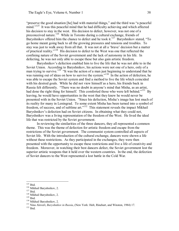"preserve the good situation [he] had with material things," and the third was "a peaceful mind."<sup>125</sup> It was this peaceful mind that he had difficulty achieving and which affected his decision to stay in the west. His decision to defect, however, was not one of a preconceived nature.<sup>126</sup> While in Toronto during a cultural exchange, friends of Baryshnikov offered him the chance to defect and he took it.<sup>127</sup> Baryshnikov stated, "To go home meant going back to all the growing pressures and tensions and troubles. To stay was just to walk away from all that. It was not at all a 'brave' decision but a matter of practical reality."<sup>128</sup> His decision to defect to the West was one that reflected the confining nature of the Soviet government and the lack of autonomy in his life. In defecting, he was not only able to escape these but also gain artistic freedom.

Baryshnikov's defection enabled him to live the life that he was not able to in the Soviet Union. According to Baryshnikov, his actions were not one of a hero, only of a man trying to survive.<sup>129</sup> "It was the action of a man just beginning to understand that he was running out of ideas on how to survive the system."<sup>130</sup> In the action of defection, he was able to escape the Soviet system and find a method to live the life which coincided with his desired goals. While he did not view himself as a hero, his friends back in Russia felt differently. "There was no doubt in anyone's mind that Misha, as an artist, had done the right thing for himself. This comforted those who were left behind."<sup>131</sup> By leaving, he would have opportunities in the west that they knew he would never be presented with in the Soviet Union. "Since his defection, Misha's image has lost much of its reality for many in Leningrad. To some extent Misha has been turned into a symbol of freedom, of success, and of sublime art."<sup>132</sup> This statement reveals the impact Mikhail Baryshnikov's defection had on Soviet citizens. In obtaining what they could not, Baryshnikov was a living representation of the freedom of the West. He lived the ideal life that was restricted by the Soviet government.

In reviewing the similarities of the three dancers, they all represented a common theme. This was the theme of defection for artistic freedom and escape from the restrictions of the Soviet government. The communist system controlled all aspects of Soviet life. With the introduction of the cultural exchange, dancers were shown a life without these restrictions. As they participated in the exchanges, they were then presented with the opportunity to escape these restrictions and live a life of creativity and freedom. Moreover, in watching their best dancers defect, the Soviet government lost the superior artistic weapons that it held over the western countries. In the end, the defection of Soviet dancers to the West represented a lost battle in the Cold War.

<sup>&</sup>lt;sup>126</sup> Mikhail Baryshnikov, 2.<br><sup>127</sup> Ibid.<br><sup>128</sup> Mikhail Baryshnikov, 2.<br><sup>129</sup> Ibid.<br><sup>130</sup> Mikhail Baryshnikov, 2.<br><sup>130</sup> Mikhail Baryshnikov, 2.<br><sup>131</sup> Nina Alovert, *Baryshnikov in Russia*, (New York: Holt, Rinehart, and W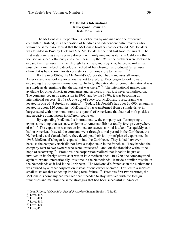## **McDonald's International: Is Everyone Lovin' It?** Kate McWilliams

The McDonald's Corporation is neither run by one man nor one executive committee. Instead, it is a federation of hundreds of independent entrepreneurs who follow the same basic format that the McDonald brothers had developed. McDonald's was founded in 1948 by Dick and Mac McDonald as the first fast food restaurant. The first restaurant was a self service drive-in with only nine menu items in California that focused on speed, efficiency and cleanliness. By the 1950s, the brothers were looking to expand their restaurant further through franchises, and Roy Kroc helped to make that possible. Kroc helped to develop a method of franchising that produced "a restaurant chain that is best known for its consistency from one store to the next."<sup>133</sup>

By the mid-1960s, the McDonald's Corporation had franchises all around America and was looking for a new market to explore. Kroc began to look toward expanding the company internationally. In fact, "the rationale for going international was as simple as determining that the market was there."<sup>134</sup> The international market was available for other American companies and services; it was just never capitalized on. The company began its expansion in 1965, and by the 1970s, it was becoming an international success. By 1985, one out of every four McDonald's restaurants was located in one of 44 foreign countries.<sup>135</sup> Today, McDonald's has over 30,000 restaurants located in about 120 countries. McDonald's has transformed from a simple drive-in burger stand with nine menu items to a symbol of Americana that has had both positive and negative connotations in different countries.

By expanding McDonald's internationally, the company was "attempting to export something that was now endemic to American life but totally foreign everywhere else."<sup>136</sup> The expansion was not an immediate success nor did it take off as quickly as it had in America. Instead, the company went through a trial period in the Caribbean, the Netherlands, and Canada before they developed their fool-proof plan of expansion. In 1965, McDonald's began its expansion into the Caribbean. They failed, however, because the company itself did not have a major stake in the franchise. They handed the company over to two owners who were unsuccessful and left the franchise without the hope of recovering.<sup>137</sup> From this, the corporation realized that it had to be just as involved in its foreign stores as it was in its American ones. In 1970, the company tried again to expand internationally, this time in the Netherlands. It made a similar mistake in the Netherlands as it had in the Caribbean. The McDonald's franchise in the Netherlands was owned by another corporation instead of one owner operator. This led to a series of small mistakes that added up into long term failure.<sup>138</sup> From tits first two ventures, the McDonald's company had realized that it needed to stay involved with the foreign franchises and maintain the same strategies that had been successful in America.

<sup>&</sup>lt;sup>133</sup> John F. Love, *McDonald's: Behind the Arches* (Bantam Books, 1986), 67.<br><sup>134</sup> Love, 417.<br><sup>135</sup> Love, 419.<br><sup>136</sup> Love, 420.<br><sup>137</sup> Love, 420.<br><sup>138</sup> Love, 421.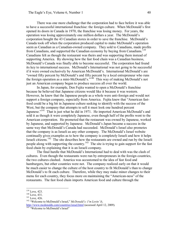There was one more challenge that the corporation had to face before it was able to have a successful international franchise: the foreign culture. When McDonald's first opened its doors in Canada in 1970, the franchise was losing money. For years, the operation was losing approximately one million dollars a year. The McDonald's corporation bought the 43 Canadian stores in order to save the franchise. McDonald's Canada took off when the corporation produced capital to make McDonald's operation seem as Canadian as a Canadian-owned company. They sold to Canadians, made profits from Canadians, and supported the Canadian economy by buying from Canadians.<sup>139</sup> Canadians felt as though the restaurant was theirs and was supporting them instead of supporting America. By showing how the fast food chain was a Canadian business, McDonald's Canada was finally able to become successful. The corporation had found its key to international success. McDonald's International was not going to be successful if it were owned exclusively by American McDonald's. International McDonald's are "owned fifty percent by McDonald's and fifty percent by a local entrepreneur who runs the foreign operation as a mini-McDonald's.<sup>" 140</sup> This way of making McDonald's not just an American company began to produce success all over the world.

In Japan, for example, Den Fujita wanted to open a McDonald's franchise because he believed that Japanese citizens would like it because it was western. However, he knew that the Japanese people as a whole were anti-foreign and would not support a foreign company, especially from America. Fujita knew that "American fastfood could be a big hit in Japanese culture seeking to identify with the success of the West, but the company that attempts to sell it must look one hundred percent Japanese."<sup>141</sup> That is just what he did in 1971. He imported American McDonald's and sold it as though it were completely Japanese, even though half of the profits went to the American corporation. He promoted that the restaurant was owned by Japanese, worked by Japanese, and supported by Japanese. McDonald's Japan became a success in the same way that McDonald's Canada had succeeded. McDonald's Israel also promotes that the company is as Israeli as any other company. The McDonald's Israel website continually gives examples as to how the company is completely Israeli and how it helps Israeli citizens.<sup>142</sup> The site describes how the restaurants are owned and run by the Israeli people along with supporting the country.<sup>143</sup> The site is trying to gain support for the fast food chain by explaining that it is an Israeli company.

The final hurdle that McDonald's International had to deal with was the clash of cultures. Even though the restaurants were run by entrepreneurs in the foreign countries, the two cultures clashed. America was accustomed to the idea of fast food and hamburgers, but other countries were not. The company realized early on that it would be much easier to change the culture of the host country to fit McDonald's than to change McDonald's to fit each culture. Therefore, while they may make minor changes to their menu for each country, they focus more on maintaining the "American-ness" of the restaurants. The fast food chain imports American food and culture through the

<sup>&</sup>lt;sup>139</sup> Love, 423.<br><sup>140</sup> Love, 431.<br><sup>141</sup> Love, 426.<br><sup>142</sup> "Welcome to McDonald's Israel," *McDonald's: I'm Lovin' It*, http://www.mcdonalds.com/countries/israel.html (accessed April 12, 2009).<br><sup>143</sup> "Welcome to McDonald's Israel"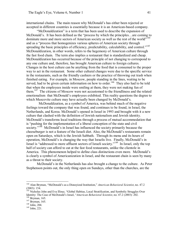international chains. The main reason why McDonald's has either been rejected or accepted in different countries is essentially because it is an American-based company.

"McDonaldization" is a term that has been used to describe the expansion of McDonald's. It has been defined as the "process by which the principles…are coming to dominate more and more sectors of American society as well as the rest of the world"<sup>144</sup> and as a "process that homogenizes various spheres of American society through spreading the basic principles of efficiency, predictability, calculability, and control."<sup>145</sup> McDonaldization, in other words, refers to the hegemony of American culture through the fast food chain. The term also implies a restaurant that is standardized and cheap. McDonaldization has occurred because of the principle of not changing to correspond to any one culture and, therefore, has brought American culture to foreign cultures. Changes in the host culture can be anything from the food that is consumed to the proper way to act in the restaurant. Some other cultural changes were due to the specific service in the restaurants, such as the friendly cashiers or the practice of throwing out trash when finished eating. For example, in Moscow, people standing in the lines, waiting to be served, had to be given certain information on how to order.<sup>146</sup> They also had to be told that when the employees inside were smiling at them, they were not making fun of them.<sup>147</sup> The citizens of Moscow were not accustomed to the friendliness and the related emotionalism that McDonald's employees exhibited. This reality questions the degree to which Muscovite culture may have actually been changed by McDonald's.

McDonaldization, as a symbol of America, was behind much of the negative feelings toward the company that was found, and continues to be found, in Israel, the Netherlands, and Korea. McDonald's opened in Israel in 1993 and brought with it a new culture that clashed with the definition of Jewish nationalism and Jewish identity. McDonald's transforms local traditions through a process of mutual accommodation that is "pushing for the implementation of a liberal conception of the state and civil society."<sup>148</sup> McDonald's in Israel has influenced the society primarily because the cheeseburger is not a feature of the Israeli diet. Also, the McDonald's restaurants remain open on Saturdays, which is the Jewish Sabbath. Through its menu and its hours of operation, McDonald's is changing the way that Israelis live. Finally, McDonald's in Israel is "addressed to more affluent sectors of Israeli society."<sup>149</sup> In Israel, only the top half of society can afford to eat at the fast food restaurants, unlike the clientele in America. This phenomenon helped to define class distinctions even more. McDonald's is clearly a symbol of Americanization in Israel, and the restaurant chain is seen by many as a threat to their society.

McDonald's in the Netherlands has also brought a change to the culture. As Peter Stephenson points out, the only thing open on Sundays, other than the churches, are the

<sup>144</sup> Alan Bryman, "McDonald's as a Disneyized Institution," *American Behavioral Scientist*, no. 47.2 (2003): 154. <sup>145</sup> Nicholas John and Eva Illouz, "Global Habitas, Local Stratification, and Symbolic Struggles Over

Identity: The Case of McDonald's Israel, "*American Behavioral Scientist*, no. 47.2 (2003): 202.<br><sup>146</sup> Bryman, 165.<br><sup>147</sup> Bryman, 165.<br><sup>148</sup> John, 204.<br><sup>149</sup> John, 221.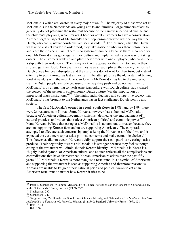McDonald's which are located in every major town.<sup>150</sup> The majority of those who eat at McDonald's in the Netherlands are young adults and families. Large numbers of adults generally do not patronize the restaurant because of the narrow selection of cuisine and the children's play area, which makes it hard for adult customers to have a conversation. Another negative aspect of McDonald's that Stephenson observed was the way that the Dutch, who are by nature courteous, are seen as rude.<sup>151</sup> For instance, when the Dutch walk up to a street vendor to order food, they take notice of who was there before them and learn their place in line. There is no system of numbers because there is no need for one. McDonald's has gone against their culture and implemented its own way of taking orders. The customers walk up and place their order with one employee, who hands them a slip with their order on it. Then, they wait in the queue for their turn to hand in their slip and get their food. However, since they have already placed their order, the normal Dutch queue has been disrupted, and the customers do not wait for their turn, but instead often try to push through as fast as they can. The attempt to use the old system of buying food at vendors with the new American form in McDonald's has led to the impression that the Dutch people are rude because of the way they push and do not wait their turn. McDonald's, by attempting to mesh American culture with Dutch culture, has violated the concept of the person in contemporary Dutch culture "via the importation of impersonal mass institutions."<sup>152</sup> The highly individualized and competitive society that McDonald's has brought to the Netherlands has in fact challenged Dutch identity and society.<br>The first McDonald's opened in Seoul, South Korea in 1988, and by 1994 there

were 26 restaurants in Korea. Some Koreans, however, have shunned McDonald's because of American cultural hegemony which is "defined as the encroachment of cultural practices and values that reflect American political and economic power."<sup>153</sup> Many Koreans believe that eating at a McDonald's is tantamount to treason because they are not supporting Korean farmers but are supporting Americans. The corporation attempted to alleviate such concerns by emphasizing the Koreanness of the firm, and it expected the customers to put aside political concerns and make economic choices.<sup>154</sup> This, however, did not occur. Koreans avidly support their compatriots by eating native produce. Their negativity towards McDonald's is stronger because they feel as though eating at the restaurant will diminish their Korean identity. McDonald's in Korea is a "highly loaded symbol of American culture, and as such reflects all the complications and contradictions that have characterized Korean-American relations over the past fifty years."<sup>155</sup> McDonald's Korea is more than just a restaurant. It is a symbol of Americana, and supporting the restaurant is seen as supporting America and therefore treasonous. Koreans are unable to let go of their national pride and political views to eat at an American restaurant no matter how Korean it tries to be.

<sup>&</sup>lt;sup>150</sup> Peter E. Stephenson, "Going to McDonald's in Leiden: Reflections on the Concept of Self and Society in the Netherlands," *Ethos*, no. 17.2 (1989): 227.

<sup>&</sup>lt;sup>151</sup> Stephenson, 237.<br><sup>152</sup> Stephenson, 242.<br><sup>153</sup> Sangmee Bak, "McDonald's in Seoul: Food Choices, Identity, and Nationalism," in *Golden arches East: McDonald's in East Asia*, ed. James L. Watson. (Stanford: Stanford University Press, 1997), 151.<br><sup>154</sup> Bak, 153-4.<br><sup>155</sup> Bak. 160.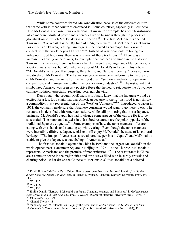While some countries feared McDonaldization because of the different culture that came with it, other countries embraced it. Some countries, especially in East Asia, liked McDonald's because it was American. Taiwan, for example, has been transformed into a modern industrial power and a center of world business through the process of globalization, of which McDonald's is a reflection.<sup>156</sup> The first McDonald's opened in Taiwan in 1984 in east Taipei. By June of 1996, there were 131 McDonald's in Taiwan. For citizens of Taiwan, "eating hamburgers is perceived as cosmopolitan, a way to connect with the world beyond Taiwan."<sup>157</sup> Instead of American culture taking over indigenous food traditions, there was a revival of these traditions.<sup>158</sup> There was an increase in chewing on betel nuts, for example, that had been common in the history of Taiwan. Furthermore, there has been a clash between the younger and older generations about culinary values, but Wu, who wrote about McDonald's in Taipei in his article "McDonald's in Taipei: Hamburgers, Betel Nuts, and National Identity," does not look negatively on McDonald's. The Taiwanese people were very welcoming to the creation of McDonald's, and the arrival of the fast food chain "set new standards for operation, competition, and management within the local catering industry."<sup>159</sup> The restaurant that symbolized America was seen as a positive force that helped to rejuvenate the Taiwanese culinary tradition, especially regarding betel nut chewing.

Den Fujita, who brought McDonald's to Japan, knew that the Japanese would be excited for a fast food chain that was American because to them, "fast food is not simply a commodity; it is a representation of 'the West' or 'America.'"<sup>160</sup> Introduced to Japan in 1971, the company made sure that Japanese consumer would want to go there to eat. The restaurant is identified with American culture, while still promoting that it is a Japanese business. McDonald's Japan has had to change some aspects of the culture for it to be successful. The manners that exist in a fast food restaurant are the polar opposite of the traditional Japanese etiquette.<sup>161</sup> Some examples of how the table manners differ are eating with ones hands and standing up while eating. Even though the table manners were incredibly different, Japanese citizens still enjoy McDonald's because of its cultural heritage. "The image of America as a social paradise persists in Japan," and McDonald's is able to give the Japanese a true feeling of Americana.<sup>162</sup>

The first McDonald's opened in China in 1990 and the largest McDonald's in the world opened near Tiananmen Square in Beijing in 1992. To the Chinese, McDonald's represents "Americana and the promise of modernization." <sup>163</sup> The restaurants in China are a common scene in the major cities and are always filled with leisurely crowds and chatting noise. What draws the Chinese to McDonald's? "McDonald's is a beloved

<sup>156</sup> David H. Wu, "McDonald's in Taipei: Hamburgers, betel Nuts, and National Identity," in *Golden arches East: McDonald's in East Asia*, ed. James L. Watson. (Stanford: Stanford University Press, 1997),

<sup>115.&</sup>lt;br><sup>157</sup> Wu, 115.<br><sup>158</sup> Wu, 133.<br><sup>159</sup> Wu, 133.<br><sup>160</sup> Emiko Ohnuki-Tierney, "McDonald's in Japan: Changing Manners and Etiquette," in *Golden arches*<br>*East: McDonald's in East Asia*, ed. James L. Watson. (Stanford: Stanf <sup>161</sup> Ohnuki-Tierney, 179.<br><sup>162</sup> Ohnuki-Tierney, 181.<br><sup>162</sup> Yunxiang Yan, "McDonald's in Beijing: The Localization of Americana," in *Golden arches East:* 

*McDonald's in East Asia*, ed. James L. Watson. (Stanford: Stanford University Press, 1997), 41.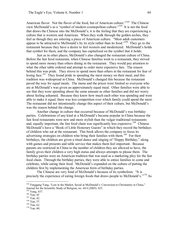American flavor. Not the flavor of the food, but of American culture."<sup>164</sup> The Chinese view McDonald's as a "symbol of modern cosmopolitan culture." <sup>165</sup> It is not the food that draws the Chinese into the McDonald's; it is the feeling that they are experiencing a culture that is western and American. When they walk through the golden arches, they feel as though they are entering a piece of American culture. "Most adult customers appear to be attracted to McDonald's by its style rather than its food."<sup>166</sup> They go to the restaurant because they have a desire to feel western and modernized. McDonald's holds that symbol for them, and the company has capitalized on the symbol that it holds.

Just as in other places, McDonald's also changed the restaurant culture of China. Before the fast food restaurant, when Chinese families went to a restaurant, they strived to spend more money than others dining in the restaurant. They would pay attention to what the other table ordered and attempt to order more expensive fare. The reason behind this was pride. They strove to spend more than others in the restaurant for fear of losing face.<sup>167</sup> They found pride in spending the most money on their meal, and this tradition was widespread in China. McDonald's changed this because the restaurant paved the way for equal meals. The menu and the prices were limited so everyone who ate at McDonald's was given an approximately equal meal. Other families were able to see that they were spending about the same amount as other families and did not worry about feeling ashamed. Because they knew how much each other was spending and were able to make it equal, there was less competition over which family could spend the most. The restaurant did not intentionally change this aspect of their culture, but McDonald's was the reason behind the change.

Another change in culture that occurred because of McDonald's was birthday parties. Celebrations of any kind at a McDonald's became popular in China because the fast food restaurants were new and more stylish than the vulgar traditional restaurants and, equally important, the fast food chain was significantly less expensive.<sup>168</sup> Chinese McDonald's have a "Book of Little Honorary Guests" in which they record the birthdays of children who eat at the restaurant. This book allows the company to focus its advertising strategies on children who bring their families with them.<sup>169</sup> For their birthdays, the children are given a ritual dance and singing of "Happy Birthday," along with games and presents and table service that makes them feel important. Because parents are restricted in China to the number of children they are allowed to have, the family gives their children a very high status and always attempts to please them. The birthday parties were an American tradition that was used as a marketing ploy for the fast food chain. Through the birthday parties, they were able to entice families to come and celebrate, while eating their food. McDonald's expanded on the culture of putting the children first by implementing the American form of birthday parties.

The Chinese are very fond of McDonald's because of its symbolism. "It is precisely the experience of eating foreign foods that draws people to McDonald's."<sup>170</sup> As

<sup>&</sup>lt;sup>164</sup> Fenggang Yang, "Lost in the Market, Saved at McDonald's: Conversion to Christianity in China," Journal for the Scientific Study of Religion, no. 44.4 (2005): 425.<br><sup>165</sup> Yang, 437.<br><sup>166</sup> Yan, 45<br><sup>167</sup> Yan, 42.<br><sup>168</sup> Yan, 57.<br><sup>169</sup> Yan, 62.<br><sup>170</sup> Yan, 60.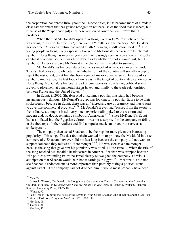the corporation has spread throughout the Chinese cities, it has become more of a middle class establishment that has gained recognition not because of the food that it serves, but because of the "experience [of] a Chinese version of American culture"<sup>171</sup> that it produces.

When the first McDonald's opened in Hong Kong in 1975, few believed that it was going to survive, but by 1997, there were 125 outlets in the territory. McDonald's has become "American culture packaged as all-American, middle-class food."  $172$  The young people in Hong Kong especially flocked to McDonald's because of tits inherent symbol. Hong Kong has over the years been increasingly seen as a creation of the global capitalist economy, so there was little debate as to whether or not it would last, but its symbol of Americana gave McDonald's the chance that it needed to survive.

McDonald's, as has been described, is a symbol of America all over the world. This symbol does not solely determine whether or not the country will socially accept or reject the restaurant, but it has also been a part of major controversies. Because of its symbolic implication, the fast food chain is easily the target of political debate, except in Hong Kong. McDonald's has been a part of controversies from taking political stands in Egypt, to placement at a memorial site in Israel, and finally to the trade relationships between France and the United States.<sup>173</sup>

In Egypt, in 2002, Shaaban Abd al-Rahim, a popular musician, had become instantaneously famous. McDonald's Egypt was looking for a popular figure to be their spokesperson because in Egypt, there was an "increasing use of dramatic and music stars to advertise commercial products."<sup>174</sup> McDonald's Egypt had "passed from the exotic to the ordinary, although it is still very much experientially linked to the western and modern and, no doubt, remains a symbol of Americana.<sup>"175</sup> Since McDonald's Egypt had assimilated into the Egyptian culture, it was not a surprise for the company to follow in the footsteps of other retailers and find a popular musician or actor to serve as a spokesperson.

The company then asked Shaaban to be their spokesman, given the increasing popularity of his song. The fast food chain wanted him to promote the Mcfalafel in three commercials. Shaaban, however, did not last long because the company did not want to support someone they felt was a "hate monger."  $176$  He was seen as a hate monger because the song that gave him his popularity was titled "I Hate Israel". When the title of the song reached McDonald's headquarters in America, Shaaban was dropped because "the politics surrounding Palestine-Israel clearly outweighed the company's obvious anticipation that Shaaban would help boost earnings in Egypt."<sup>177</sup> McDonald's did not see Shaaban's endorsement as more important than possibly taking a political stand against Israel. If the company had not dropped him, it would most probably have been

<sup>&</sup>lt;sup>171</sup> Yan, 72.<br><sup>172</sup> James L. Watson, "McDonald's in Hong Kong: Consumerism, Dietary Change, and the Arise of a Children's Culture," in *Golden arches East: McDonald's in East Asia*, ed. James L. Watson. (Stanford:

<sup>&</sup>lt;sup>173</sup> Watson, 97. **174** Joel Gordon, "Singing the Pulse of the Egyptian-Arab Street: Shaaban Abd al-Rahim and the Geo-Pop-Politics of Fast Food," *Popular Music*, no. 22.1 (2003) 80. <sup>175</sup> Gordon, 81. <sup>176</sup> Gordon, 81. <sup>177</sup> Gordon, 82.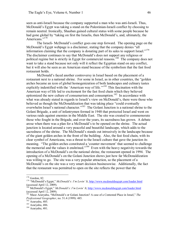seen as anti-Israeli because the company supported a man who was anti-Israeli. Thus, McDonald's Egypt was taking a stand on the Palestinian-Israeli conflict by choosing to remain neutral. Ironically, Shaaban gained cultural status with some people because he had gone global by "taking on first the Israelis, then McDonald's, and, ultimately, the Americans."<sup>178</sup>

The Israeli- McDonald's conflict goes one step forward. The opening page on the McDonald's Egypt webpage is a disclaimer, stating that the company denies "all information claiming that the company is donating part of its sales to support Israel." <sup>179</sup> The disclaimer continues to say that McDonald's does not support any religious or political regime but is strictly in Egypt for commercial reasons.<sup>180</sup> The company does not want to take a stand because not only will it reflect the Egyptian stand on any conflict, but it will also be seen as an American stand because of the symbolism that the fast food restaurant holds.

McDonald's faced another controversy in Israel based on the placement of a restaurant next to a national shrine. For some in Israel, as in other countries, the "golden arches became an icon of global homogenization of both landscapes and culinary tastes explicitly indentified with the 'American way of life.'<sup>181</sup> This fascination with the American way of life led to excitement for the fast food chain which they believed epitomized the new culture of consumerism and consumption.<sup>182</sup> In accordance with what was already stated in regards to Israeli's view on McDonald's, there were those who believed as though the McDonaldization that was taking place "could eventually overwhelm Israel's national character."<sup>183</sup> The Golani Junction is a national shrine to the Golani Brigade, a unit of infantrymen formed in 1948 that protected Israel and went on various raids against enemies in the Middle East. The site was created to commemorate those who fought in the Brigade, and over the years, its sacredness has grown. A debate arose when there was a plan for a McDonald's to be opened on the shrine. The actual junction is located around a very peaceful and beautiful landscape, which adds to the sacredness of the shrine. The McDonald's stands out intrusively in the landscape because of the giant golden arches in the front of the building. Also, the fast food chain, with its clear symbol of Americana, was a threat to the Israeli culture that gave the junction its meaning. "The golden arches constituted a 'counter movement' that seemed to challenge the memorial and the values it enshrined."<sup>184</sup> Even with the heavy negativity towards the introduction of a McDonald's on the national shrine, the restaurant opened in 1994. The opening of a McDonald's on the Golani Junction shows just how far McDonaldization was willing to go. The site was a very popular attraction, so the placement of a McDonald's on the site was a very smart decision businesswise. Additionally, the fact that the restaurant was permitted to open on the site reflects the power that the

<sup>&</sup>lt;sup>178</sup> Gordon, 82.<br><sup>179</sup> "McDonald's Egypt," *McDonald's: I'm Lovin' It*, http://www.mcdonaldsegypt.com/loader.html

<sup>(</sup>accessed April 12, 2009).<br><sup>180</sup> McDonald's Egypt," *McDonald's: I'm Lovin' It*, http://www.mcdonaldsegypt.com/loader.html<br>(accessed April 12, 2009).

<sup>&</sup>lt;sup>181</sup> Maoz Azaryahu, "McDonald's or Golani Junction? A case of a Contested Place in Israel," *The Professional Geographer*, no. 51.4 (1999): 485.<br><sup>182</sup> Azaryahu, 485.<br><sup>183</sup> Azaryahu, 486.<br><sup>184</sup> Azaryahu, 481.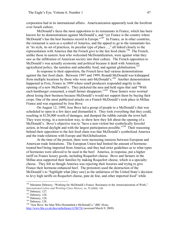corporation had in its international affairs. Americanization apparently took the forefront over Israeli culture.

McDonald's faces the most opposition to its restaurants in France, which has been known for its demonstrations against McDonald's, and "yet France is the country where McDonald's has the best business record in Europe."<sup>185</sup> In France, as in other countries, the restaurant is seen as a symbol of America, and the appeal to go to the restaurants lies in "its style, its set of practices, its peculiar type of place…," all linked closely to the representation with America that the French give to the fast food chain.<sup>186</sup> The French, unlike those in eastern Asia who welcomed McDonaldization, were against what they saw asthe infiltration of American society into their culture. The French opposition to McDonald's was actually economic and political because it dealt with American agricultural policy, the tasteless and unhealthy food, and against globalization.<sup>187</sup>

In response to their opposition, the French have had various demonstrations against the fast food chain. Between 1997 and 1999, Ronald McDonald was kidnapped from multiple locations by those who were anti-McDonald's.<sup>188</sup> Another demonstration happened in Foix, France in 1999 where small producers responded angrily to the opening of a new McDonald's. They picketed the area and held signs that said "With each hamburger consumed, a small farmer disappears."<sup>189</sup> These famers were worried about losing their business because McDonald's would not support them by buying their crops. One of the most publicized attacks on a French McDonald's took place in Millau France and was organized by Jose Bove.

On August 12, 1999, Jose Bove led a group of people to a McDonald's that was scheduled to open in a few days and dismantled it. They took everything that they could, resulting in \$120,000 worth of damages, and dumped the rubble outside the town hall. They were trying, in a nonviolent way, to show how they felt about the opening of a McDonald's. Bove's objective was to "have a non-violent but symbolically forceful action, in broad daylight and with the largest participation possible.<sup> $190$ </sup> Their reasoning behind their opposition to the fast food chain was that McDonald's symbolized America and the trade relations with Europe and McGlobalization.

At the time of the protest, there were increasing tensions between European and American trade limitations. The European Union had limited the amount of hormone treated beef being imported from America, and they had strict guidelines as to what types of hormones were allowed to be used in the beef. America, in response, put a higher tariff on France luxury goods, including Roquefort cheese. Bove and farmers in the Millau area supported their families by making Roquefort cheese, which is a specialty cheese. They felt as though America was rejecting their luxuries and trying to give France their hormone-enhanced beef. The protestors used the destruction of the McDonald's to "highlight what [they saw] as the unfairness of the United State's decision to levy high tariffs on Roquefort cheese, pate de foie, and other imported food" while

<sup>&</sup>lt;sup>185</sup> Marianne Debouzy, "Working for McDonald's France: Resistance to the Americanization of Work," *International Labor and Working-Class History*, no. 70 (2006): 126.

<sup>&</sup>lt;sup>186</sup> Debouzy, 127.<br>
<sup>187</sup> Debouzy, 128.<br>
<sup>188</sup> Debouzy, 128.<br>
<sup>189</sup> Debouzy, 128.<br>
<sup>190</sup> "Jose Bove: the Man Who Dismantled a McDonald's," *BBC Home*, http://www.bbc.co.uk/dna/onthefuture/A706736 (accessed March 9, 2009).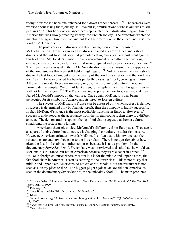trying to "force it's hormone-enhanced food down French throats."<sup>191</sup> The farmers were worried about losing their jobs by, as Bove put is, "multinationals whose aim was to kill peasants."<sup>192</sup> This hormone enhanced beef represented the industrialized agriculture of America that was slowly creeping its way into French society. The protestors wanted to maintain the agriculture they had and not lose their farms due to the cheap, industrialized food of McDonald's.

The protesters were also worried about losing their culture because of McGlobalization. French citizens have always enjoyed a lengthy lunch and a short dinner, and the fast food industry that promoted eating quickly at low cost went against this tradition. McDonald's symbolized an encroachment on a culture that had long, enjoyable meals once a day for meals that were prepared and eaten at a very quick rate.<sup>193</sup> The French were annoyed with the McDonaldization that was causing the disappearance of the long lunches that were still held in high regard.<sup>194</sup> Not only were the meals shorter due to the fast food chain, but also the quality of the food was inferior, and the food was not French. Bove expressed his beliefs perfectly by saying "Look, cooking is culture. All over the world. Every nation, every region, has its own food culture. Food and farming define people. We cannot let it all go, to be replaced with hamburgers. People will not let the happen."<sup> $195$ </sup> The French wanted to preserve their food culture, and they feared McDonald's impact on that culture. Once again, McDonald's was being persecuted for its symbol of America and its threat to foreign culture.

The success of McDonald's France can be assessed only when success is defined. If success is determined only by financial profit, then the company is highly successful. In fact, McDonald's France is the most profitable franchise in Europe. However, if success is understood as the acceptance from the foreign country, then there is a different answer. The demonstrations against the fast food chain suggest that from a cultural standpoint, the restaurant is failing.

Americans themselves view McDonald's differently from Europeans. They see it as a part of their culture, but do not see it changing their culture in a drastic measure. However, American attitudes towards McDonald's often deal with how unclean the restaurants are and how they cater to the lower class. There is no question about how clean the fast food chain is in other countries because it is not a problem. In the documentary *Super Size Me*, A French lady was interviewed and said that she would eat McDonald's in France, but not in American because they were cleaner in France.<sup>196</sup> Unlike in foreign countries where McDonald's is for the middle and upper classes, the fast food chain in America is seen as catering to the lower class. This is not to say that middle and upper class Americans do not eat at McDonald's, but the restaurant is not seen as a classy place to dine. The biggest plight against McDonald's in America, as seen in the documentary *Super Size Me*, is the unhealthy food.<sup>197</sup> The main problems

<sup>191</sup> Suzanne Daley, "Montredon Journal; French See a Hero in War on 'McDomination'," *The New York*

<sup>&</sup>lt;sup>192</sup> Debouzy, 129.<br><sup>193</sup> "Jose Bove- the Man Who Dismantled a McDonald's".<br><sup>194</sup> Daley.<br><sup>195</sup> Samuel Lowenberg, "Anti-Americanism: Is Anger at the U.S. Growing?" *CQ Global Researcher*, no. 1.3, (2007). <sup>196</sup> *Super Size Me*, prod. And dir. Morgan Spurlock, 100 min., Kathbur Pictures, 2004, DVD. <sup>197</sup> *Super Size Me.*